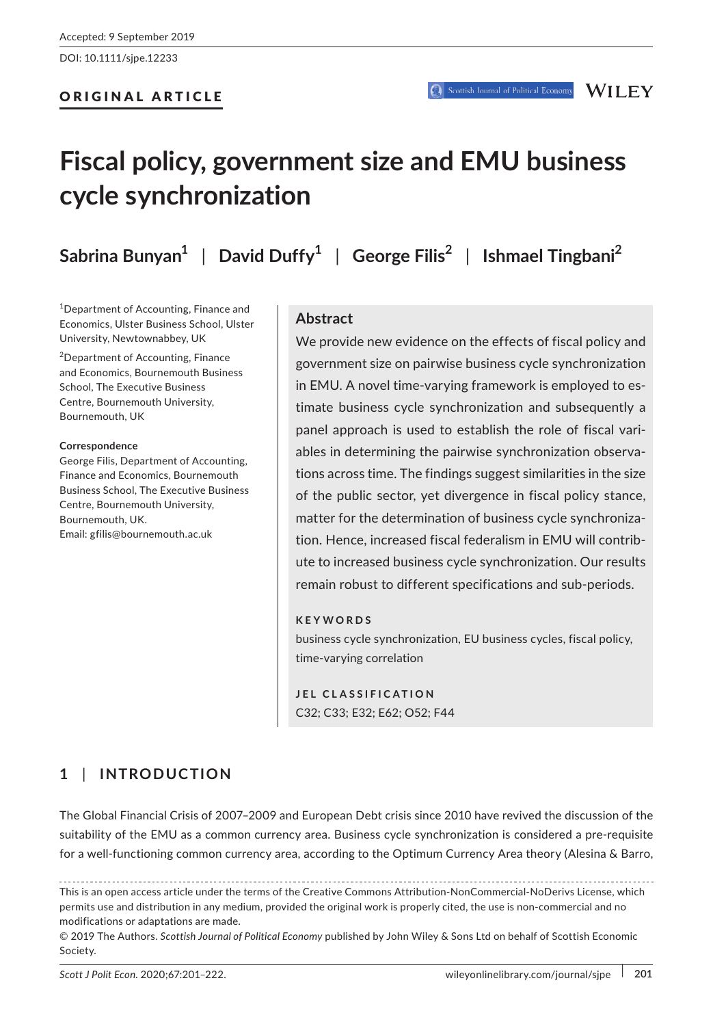DOI: 10.1111/sjpe.12233

## ORIGINAL ARTICLE

# **Fiscal policy, government size and EMU business cycle synchronization**

**Sabrina Bunyan<sup>1</sup>** | **David Duffy<sup>1</sup>** | **George Filis2** | **Ishmael Tingbani<sup>2</sup>**

<sup>1</sup>Department of Accounting, Finance and Economics, Ulster Business School, Ulster University, Newtownabbey, UK

<sup>2</sup>Department of Accounting, Finance and Economics, Bournemouth Business School, The Executive Business Centre, Bournemouth University, Bournemouth, UK

#### **Correspondence**

George Filis, Department of Accounting, Finance and Economics, Bournemouth Business School, The Executive Business Centre, Bournemouth University, Bournemouth, UK. Email: [gfilis@bournemouth.ac.uk](mailto:gfilis@bournemouth.ac.uk)

## **Abstract**

We provide new evidence on the effects of fiscal policy and government size on pairwise business cycle synchronization in EMU. A novel time‐varying framework is employed to es‐ timate business cycle synchronization and subsequently a panel approach is used to establish the role of fiscal vari‐ ables in determining the pairwise synchronization observa‐ tions across time. The findings suggest similarities in the size of the public sector, yet divergence in fiscal policy stance, matter for the determination of business cycle synchroniza‐ tion. Hence, increased fiscal federalism in EMU will contrib‐ ute to increased business cycle synchronization. Our results remain robust to different specifications and sub‐periods.

#### **KEYWORDS**

business cycle synchronization, EU business cycles, fiscal policy, time‐varying correlation

**JEL CLASSIFICATION** C32; C33; E32; E62; O52; F44

# **1** | **INTRODUCTION**

The Global Financial Crisis of 2007–2009 and European Debt crisis since 2010 have revived the discussion of the suitability of the EMU as a common currency area. Business cycle synchronization is considered a pre-requisite for a well-functioning common currency area, according to the Optimum Currency Area theory (Alesina & Barro,

This is an open access article under the terms of the [Creative Commons Attribution‐NonCommercial‐NoDerivs](http://creativecommons.org/licenses/by-nc-nd/4.0/) License, which permits use and distribution in any medium, provided the original work is properly cited, the use is non-commercial and no modifications or adaptations are made.

<sup>© 2019</sup> The Authors. *Scottish Journal of Political Economy* published by John Wiley & Sons Ltd on behalf of Scottish Economic Society.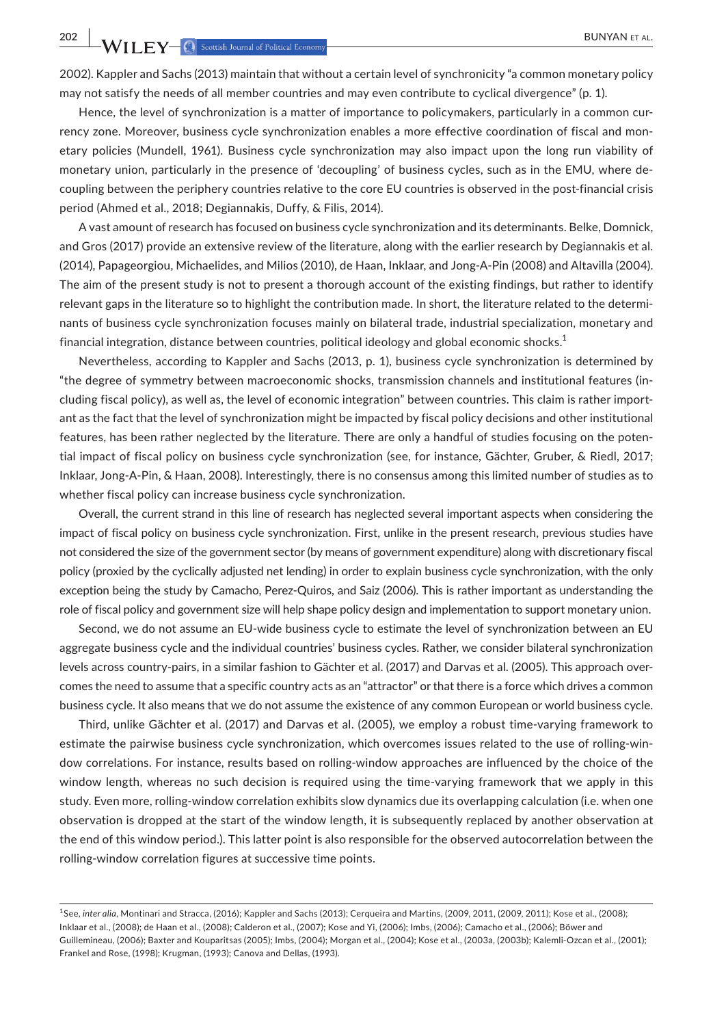**202 WILEY-C** Scottish Journal of Political Economy

2002). Kappler and Sachs (2013) maintain that without a certain level of synchronicity "a common monetary policy may not satisfy the needs of all member countries and may even contribute to cyclical divergence" (p. 1).

Hence, the level of synchronization is a matter of importance to policymakers, particularly in a common currency zone. Moreover, business cycle synchronization enables a more effective coordination of fiscal and monetary policies (Mundell, 1961). Business cycle synchronization may also impact upon the long run viability of monetary union, particularly in the presence of 'decoupling' of business cycles, such as in the EMU, where de‐ coupling between the periphery countries relative to the core EU countries is observed in the post-financial crisis period (Ahmed et al., 2018; Degiannakis, Duffy, & Filis, 2014).

A vast amount of research has focused on business cycle synchronization and its determinants. Belke, Domnick, and Gros (2017) provide an extensive review of the literature, along with the earlier research by Degiannakis et al. (2014), Papageorgiou, Michaelides, and Milios (2010), de Haan, Inklaar, and Jong‐A‐Pin (2008) and Altavilla (2004). The aim of the present study is not to present a thorough account of the existing findings, but rather to identify relevant gaps in the literature so to highlight the contribution made. In short, the literature related to the determi‐ nants of business cycle synchronization focuses mainly on bilateral trade, industrial specialization, monetary and financial integration, distance between countries, political ideology and global economic shocks. $1$ 

Nevertheless, according to Kappler and Sachs (2013, p. 1), business cycle synchronization is determined by "the degree of symmetry between macroeconomic shocks, transmission channels and institutional features (in‐ cluding fiscal policy), as well as, the level of economic integration" between countries. This claim is rather import‐ ant as the fact that the level of synchronization might be impacted by fiscal policy decisions and other institutional features, has been rather neglected by the literature. There are only a handful of studies focusing on the poten‐ tial impact of fiscal policy on business cycle synchronization (see, for instance, Gächter, Gruber, & Riedl, 2017; Inklaar, Jong‐A‐Pin, & Haan, 2008). Interestingly, there is no consensus among this limited number of studies as to whether fiscal policy can increase business cycle synchronization.

Overall, the current strand in this line of research has neglected several important aspects when considering the impact of fiscal policy on business cycle synchronization. First, unlike in the present research, previous studies have not considered the size of the government sector (by means of government expenditure) along with discretionary fiscal policy (proxied by the cyclically adjusted net lending) in order to explain business cycle synchronization, with the only exception being the study by Camacho, Perez-Quiros, and Saiz (2006). This is rather important as understanding the role of fiscal policy and government size will help shape policy design and implementation to support monetary union.

Second, we do not assume an EU‐wide business cycle to estimate the level of synchronization between an EU aggregate business cycle and the individual countries' business cycles. Rather, we consider bilateral synchronization levels across country‐pairs, in a similar fashion to Gächter et al. (2017) and Darvas et al. (2005). This approach over‐ comes the need to assume that a specific country acts as an "attractor" or that there is a force which drives a common business cycle. It also means that we do not assume the existence of any common European or world business cycle.

Third, unlike Gächter et al. (2017) and Darvas et al. (2005), we employ a robust time‐varying framework to estimate the pairwise business cycle synchronization, which overcomes issues related to the use of rolling‐win‐ dow correlations. For instance, results based on rolling‐window approaches are influenced by the choice of the window length, whereas no such decision is required using the time-varying framework that we apply in this study. Even more, rolling‐window correlation exhibits slow dynamics due its overlapping calculation (i.e. when one observation is dropped at the start of the window length, it is subsequently replaced by another observation at the end of this window period.). This latter point is also responsible for the observed autocorrelation between the rolling‐window correlation figures at successive time points.

<sup>1</sup>  See, *inter alia*, Montinari and Stracca, (2016); Kappler and Sachs (2013); Cerqueira and Martins, (2009, 2011, (2009, 2011); Kose et al., (2008); Inklaar et al., (2008); de Haan et al., (2008); Calderon et al., (2007); Kose and Yi, (2006); Imbs, (2006); Camacho et al., (2006); Böwer and Guillemineau, (2006); Baxter and Kouparitsas (2005); Imbs, (2004); Morgan et al., (2004); Kose et al., (2003a, (2003b); Kalemli‐Ozcan et al., (2001); Frankel and Rose, (1998); Krugman, (1993); Canova and Dellas, (1993).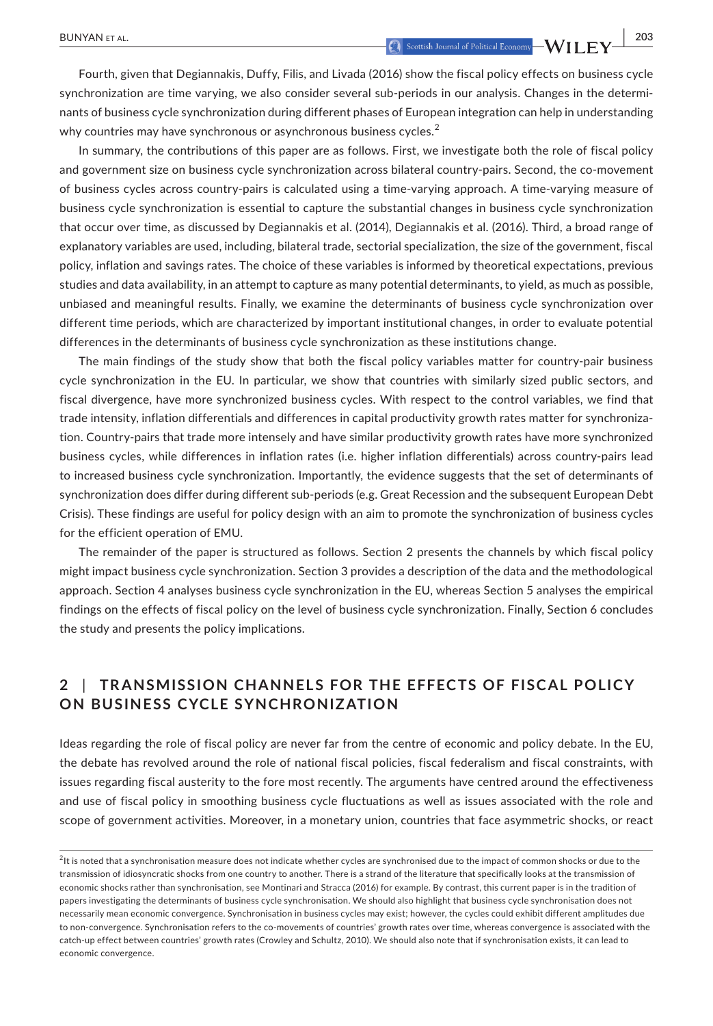Fourth, given that Degiannakis, Duffy, Filis, and Livada (2016) show the fiscal policy effects on business cycle synchronization are time varying, we also consider several sub-periods in our analysis. Changes in the determinants of business cycle synchronization during different phases of European integration can help in understanding why countries may have synchronous or asynchronous business cycles.<sup>2</sup>

In summary, the contributions of this paper are as follows. First, we investigate both the role of fiscal policy and government size on business cycle synchronization across bilateral country-pairs. Second, the co-movement of business cycles across country‐pairs is calculated using a time‐varying approach. A time‐varying measure of business cycle synchronization is essential to capture the substantial changes in business cycle synchronization that occur over time, as discussed by Degiannakis et al. (2014), Degiannakis et al. (2016). Third, a broad range of explanatory variables are used, including, bilateral trade, sectorial specialization, the size of the government, fiscal policy, inflation and savings rates. The choice of these variables is informed by theoretical expectations, previous studies and data availability, in an attempt to capture as many potential determinants, to yield, as much as possible, unbiased and meaningful results. Finally, we examine the determinants of business cycle synchronization over different time periods, which are characterized by important institutional changes, in order to evaluate potential differences in the determinants of business cycle synchronization as these institutions change.

The main findings of the study show that both the fiscal policy variables matter for country-pair business cycle synchronization in the EU. In particular, we show that countries with similarly sized public sectors, and fiscal divergence, have more synchronized business cycles. With respect to the control variables, we find that trade intensity, inflation differentials and differences in capital productivity growth rates matter for synchroniza‐ tion. Country‐pairs that trade more intensely and have similar productivity growth rates have more synchronized business cycles, while differences in inflation rates (i.e. higher inflation differentials) across country‐pairs lead to increased business cycle synchronization. Importantly, the evidence suggests that the set of determinants of synchronization does differ during different sub‐periods (e.g. Great Recession and the subsequent European Debt Crisis). These findings are useful for policy design with an aim to promote the synchronization of business cycles for the efficient operation of EMU.

The remainder of the paper is structured as follows. Section 2 presents the channels by which fiscal policy might impact business cycle synchronization. Section 3 provides a description of the data and the methodological approach. Section 4 analyses business cycle synchronization in the EU, whereas Section 5 analyses the empirical findings on the effects of fiscal policy on the level of business cycle synchronization. Finally, Section 6 concludes the study and presents the policy implications.

# **2** | **TR ANSMISSION CHANNEL S FOR THE EFFEC TS OF FISC AL POLICY ON BUSINESS CYCLE SYNCHRONIZATION**

Ideas regarding the role of fiscal policy are never far from the centre of economic and policy debate. In the EU, the debate has revolved around the role of national fiscal policies, fiscal federalism and fiscal constraints, with issues regarding fiscal austerity to the fore most recently. The arguments have centred around the effectiveness and use of fiscal policy in smoothing business cycle fluctuations as well as issues associated with the role and scope of government activities. Moreover, in a monetary union, countries that face asymmetric shocks, or react

 $^2$ It is noted that a synchronisation measure does not indicate whether cycles are synchronised due to the impact of common shocks or due to the transmission of idiosyncratic shocks from one country to another. There is a strand of the literature that specifically looks at the transmission of economic shocks rather than synchronisation, see Montinari and Stracca (2016) for example. By contrast, this current paper is in the tradition of papers investigating the determinants of business cycle synchronisation. We should also highlight that business cycle synchronisation does not necessarily mean economic convergence. Synchronisation in business cycles may exist; however, the cycles could exhibit different amplitudes due to non-convergence. Synchronisation refers to the co-movements of countries' growth rates over time, whereas convergence is associated with the catch‐up effect between countries' growth rates (Crowley and Schultz, 2010). We should also note that if synchronisation exists, it can lead to economic convergence.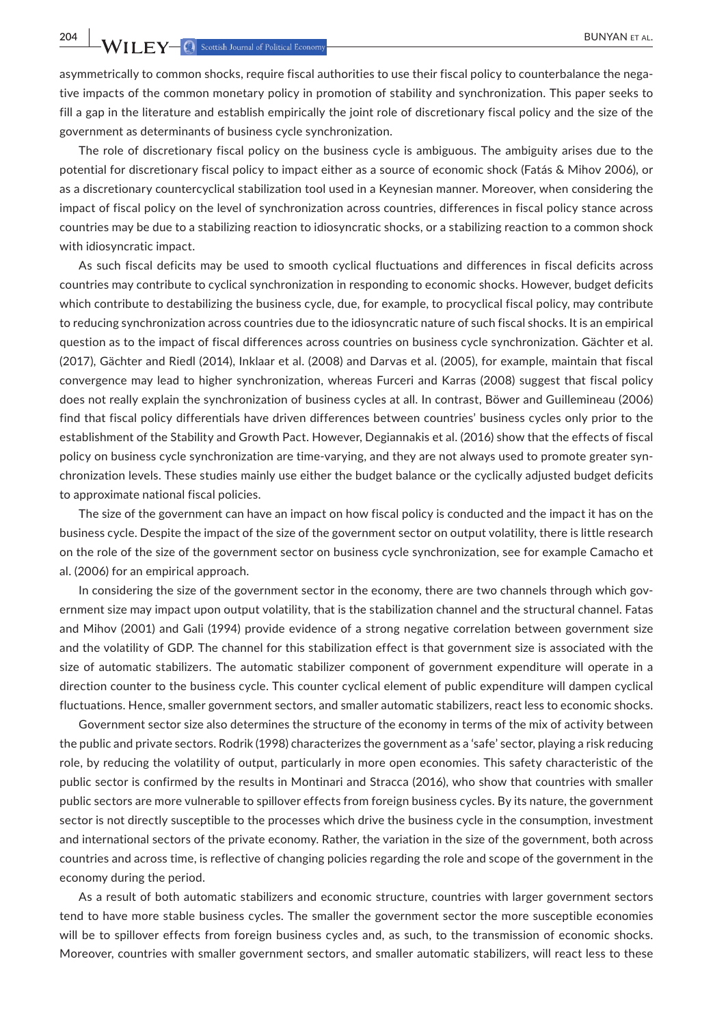**204 • WILEY-C** Scottish Journal of Political Economy **and Scottish Containers** BUNYAN ET AL.

asymmetrically to common shocks, require fiscal authorities to use their fiscal policy to counterbalance the negative impacts of the common monetary policy in promotion of stability and synchronization. This paper seeks to fill a gap in the literature and establish empirically the joint role of discretionary fiscal policy and the size of the government as determinants of business cycle synchronization.

The role of discretionary fiscal policy on the business cycle is ambiguous. The ambiguity arises due to the potential for discretionary fiscal policy to impact either as a source of economic shock (Fatás & Mihov 2006), or as a discretionary countercyclical stabilization tool used in a Keynesian manner. Moreover, when considering the impact of fiscal policy on the level of synchronization across countries, differences in fiscal policy stance across countries may be due to a stabilizing reaction to idiosyncratic shocks, or a stabilizing reaction to a common shock with idiosyncratic impact.

As such fiscal deficits may be used to smooth cyclical fluctuations and differences in fiscal deficits across countries may contribute to cyclical synchronization in responding to economic shocks. However, budget deficits which contribute to destabilizing the business cycle, due, for example, to procyclical fiscal policy, may contribute to reducing synchronization across countries due to the idiosyncratic nature of such fiscal shocks. It is an empirical question as to the impact of fiscal differences across countries on business cycle synchronization. Gächter et al. (2017), Gächter and Riedl (2014), Inklaar et al. (2008) and Darvas et al. (2005), for example, maintain that fiscal convergence may lead to higher synchronization, whereas Furceri and Karras (2008) suggest that fiscal policy does not really explain the synchronization of business cycles at all. In contrast, Böwer and Guillemineau (2006) find that fiscal policy differentials have driven differences between countries' business cycles only prior to the establishment of the Stability and Growth Pact. However, Degiannakis et al. (2016) show that the effects of fiscal policy on business cycle synchronization are time-varying, and they are not always used to promote greater synchronization levels. These studies mainly use either the budget balance or the cyclically adjusted budget deficits to approximate national fiscal policies.

The size of the government can have an impact on how fiscal policy is conducted and the impact it has on the business cycle. Despite the impact of the size of the government sector on output volatility, there is little research on the role of the size of the government sector on business cycle synchronization, see for example Camacho et al. (2006) for an empirical approach.

In considering the size of the government sector in the economy, there are two channels through which government size may impact upon output volatility, that is the stabilization channel and the structural channel. Fatas and Mihov (2001) and Gali (1994) provide evidence of a strong negative correlation between government size and the volatility of GDP. The channel for this stabilization effect is that government size is associated with the size of automatic stabilizers. The automatic stabilizer component of government expenditure will operate in a direction counter to the business cycle. This counter cyclical element of public expenditure will dampen cyclical fluctuations. Hence, smaller government sectors, and smaller automatic stabilizers, react less to economic shocks.

Government sector size also determines the structure of the economy in terms of the mix of activity between the public and private sectors. Rodrik (1998) characterizes the government as a 'safe' sector, playing a risk reducing role, by reducing the volatility of output, particularly in more open economies. This safety characteristic of the public sector is confirmed by the results in Montinari and Stracca (2016), who show that countries with smaller public sectors are more vulnerable to spillover effects from foreign business cycles. By its nature, the government sector is not directly susceptible to the processes which drive the business cycle in the consumption, investment and international sectors of the private economy. Rather, the variation in the size of the government, both across countries and across time, is reflective of changing policies regarding the role and scope of the government in the economy during the period.

As a result of both automatic stabilizers and economic structure, countries with larger government sectors tend to have more stable business cycles. The smaller the government sector the more susceptible economies will be to spillover effects from foreign business cycles and, as such, to the transmission of economic shocks. Moreover, countries with smaller government sectors, and smaller automatic stabilizers, will react less to these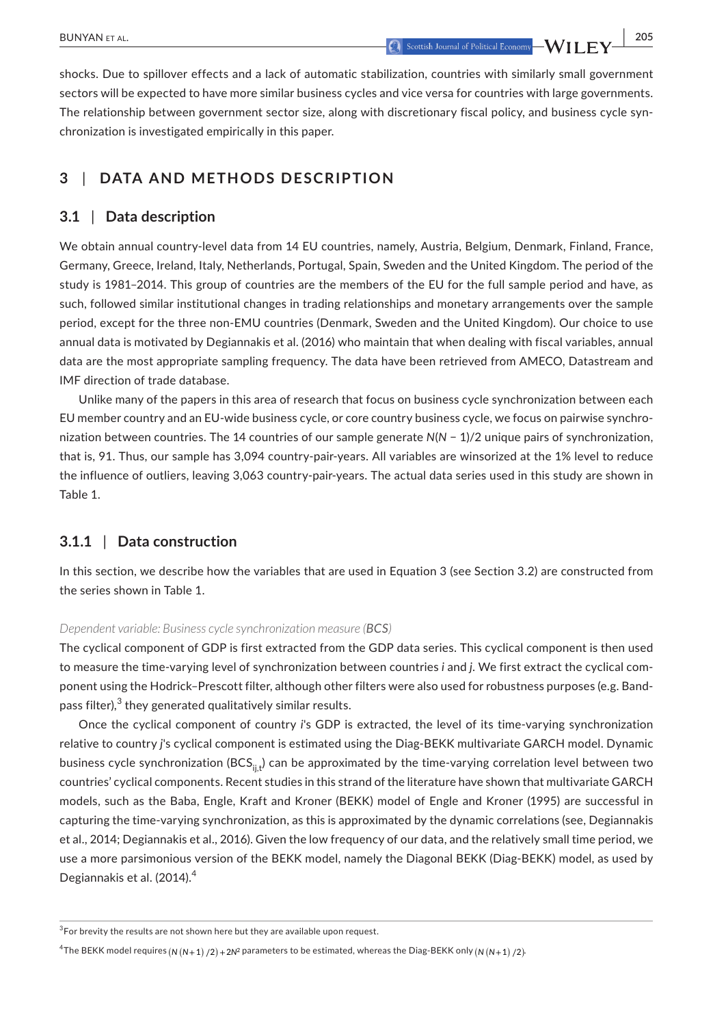shocks. Due to spillover effects and a lack of automatic stabilization, countries with similarly small government sectors will be expected to have more similar business cycles and vice versa for countries with large governments. The relationship between government sector size, along with discretionary fiscal policy, and business cycle syn‐ chronization is investigated empirically in this paper.

# **3** | **DATA AND METHODS DESCRIPTION**

# **3.1** | **Data description**

We obtain annual country-level data from 14 EU countries, namely, Austria, Belgium, Denmark, Finland, France, Germany, Greece, Ireland, Italy, Netherlands, Portugal, Spain, Sweden and the United Kingdom. The period of the study is 1981–2014. This group of countries are the members of the EU for the full sample period and have, as such, followed similar institutional changes in trading relationships and monetary arrangements over the sample period, except for the three non-EMU countries (Denmark, Sweden and the United Kingdom). Our choice to use annual data is motivated by Degiannakis et al. (2016) who maintain that when dealing with fiscal variables, annual data are the most appropriate sampling frequency. The data have been retrieved from AMECO, Datastream and IMF direction of trade database.

Unlike many of the papers in this area of research that focus on business cycle synchronization between each EU member country and an EU‐wide business cycle, or core country business cycle, we focus on pairwise synchro‐ nization between countries. The 14 countries of our sample generate *N*(*N* − 1)/2 unique pairs of synchronization, that is, 91. Thus, our sample has 3,094 country‐pair‐years. All variables are winsorized at the 1% level to reduce the influence of outliers, leaving 3,063 country‐pair‐years. The actual data series used in this study are shown in Table 1.

# **3.1.1** | **Data construction**

In this section, we describe how the variables that are used in Equation 3 (see Section 3.2) are constructed from the series shown in Table 1.

#### *Dependent variable: Business cycle synchronization measure (BCS)*

The cyclical component of GDP is first extracted from the GDP data series. This cyclical component is then used to measure the time‐varying level of synchronization between countries *i* and *j*. We first extract the cyclical com‐ ponent using the Hodrick–Prescott filter, although other filters were also used for robustness purposes (e.g. Bandpass filter), $^3$  they generated qualitatively similar results.

Once the cyclical component of country *i*'s GDP is extracted, the level of its time‐varying synchronization relative to country *j*'s cyclical component is estimated using the Diag‐BEKK multivariate GARCH model. Dynamic business cycle synchronization (BCS<sub>ii+</sub>) can be approximated by the time-varying correlation level between two countries' cyclical components. Recent studies in this strand of the literature have shown that multivariate GARCH models, such as the Baba, Engle, Kraft and Kroner (BEKK) model of Engle and Kroner (1995) are successful in capturing the time‐varying synchronization, as this is approximated by the dynamic correlations (see, Degiannakis et al., 2014; Degiannakis et al., 2016). Given the low frequency of our data, and the relatively small time period, we use a more parsimonious version of the BEKK model, namely the Diagonal BEKK (Diag‐BEKK) model, as used by Degiannakis et al. (2014).<sup>4</sup>

 $^3$ For brevity the results are not shown here but they are available upon request.

<sup>&</sup>lt;sup>4</sup>The BEKK model requires (N (N+1) /2) +2N<sup>2</sup> parameters to be estimated, whereas the Diag-BEKK only (N (N+1) /2)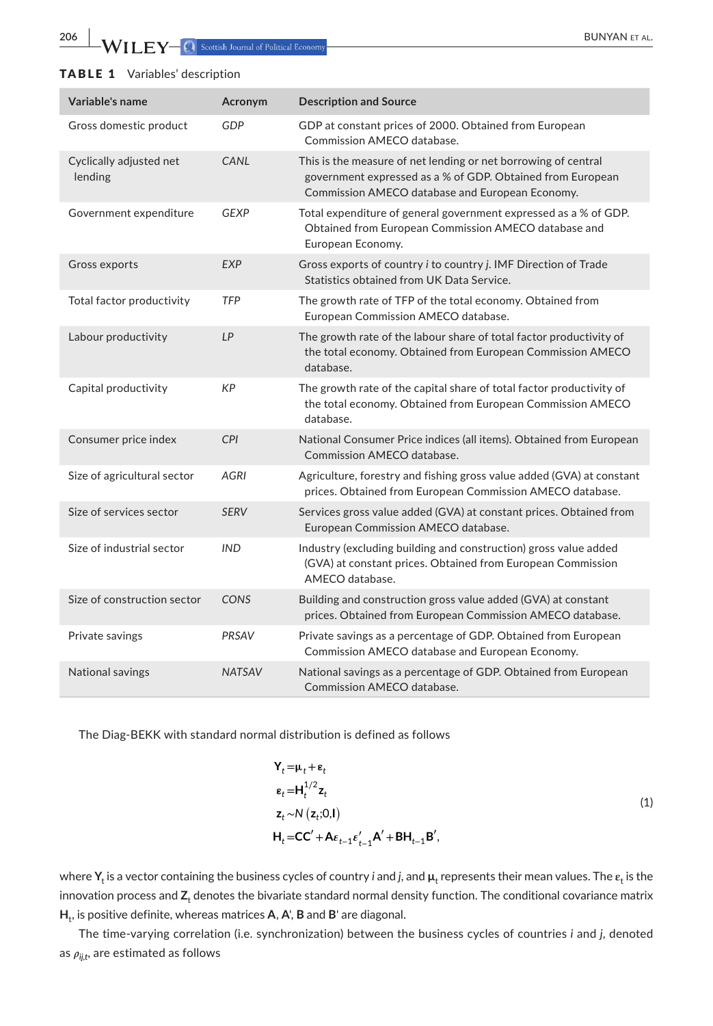## TABLE 1 Variables' description

| Variable's name                    | Acronym       | <b>Description and Source</b>                                                                                                                                                   |
|------------------------------------|---------------|---------------------------------------------------------------------------------------------------------------------------------------------------------------------------------|
| Gross domestic product             | GDP           | GDP at constant prices of 2000. Obtained from European<br>Commission AMECO database.                                                                                            |
| Cyclically adjusted net<br>lending | CANL          | This is the measure of net lending or net borrowing of central<br>government expressed as a % of GDP. Obtained from European<br>Commission AMECO database and European Economy. |
| Government expenditure             | <b>GEXP</b>   | Total expenditure of general government expressed as a % of GDP.<br>Obtained from European Commission AMECO database and<br>European Economy.                                   |
| Gross exports                      | <b>EXP</b>    | Gross exports of country <i>i</i> to country <i>j</i> . IMF Direction of Trade<br>Statistics obtained from UK Data Service.                                                     |
| Total factor productivity          | <b>TFP</b>    | The growth rate of TFP of the total economy. Obtained from<br>European Commission AMECO database.                                                                               |
| Labour productivity                | LP            | The growth rate of the labour share of total factor productivity of<br>the total economy. Obtained from European Commission AMECO<br>database.                                  |
| Capital productivity               | КP            | The growth rate of the capital share of total factor productivity of<br>the total economy. Obtained from European Commission AMECO<br>database.                                 |
| Consumer price index               | <b>CPI</b>    | National Consumer Price indices (all items). Obtained from European<br>Commission AMECO database.                                                                               |
| Size of agricultural sector        | AGRI          | Agriculture, forestry and fishing gross value added (GVA) at constant<br>prices. Obtained from European Commission AMECO database.                                              |
| Size of services sector            | <b>SERV</b>   | Services gross value added (GVA) at constant prices. Obtained from<br>European Commission AMECO database.                                                                       |
| Size of industrial sector          | <b>IND</b>    | Industry (excluding building and construction) gross value added<br>(GVA) at constant prices. Obtained from European Commission<br>AMECO database.                              |
| Size of construction sector        | <b>CONS</b>   | Building and construction gross value added (GVA) at constant<br>prices. Obtained from European Commission AMECO database.                                                      |
| Private savings                    | PRSAV         | Private savings as a percentage of GDP. Obtained from European<br>Commission AMECO database and European Economy.                                                               |
| National savings                   | <b>NATSAV</b> | National savings as a percentage of GDP. Obtained from European<br>Commission AMECO database.                                                                                   |

The Diag‐BEKK with standard normal distribution is defined as follows

$$
\mathbf{Y}_{t} = \mathbf{\mu}_{t} + \mathbf{\varepsilon}_{t}
$$
\n
$$
\mathbf{\varepsilon}_{t} = \mathbf{H}_{t}^{1/2} \mathbf{z}_{t}
$$
\n
$$
\mathbf{z}_{t} \sim N(\mathbf{z}_{t}; 0, \mathbf{I})
$$
\n
$$
\mathbf{H}_{t} = \mathbf{CC}' + \mathbf{A}\mathbf{\varepsilon}_{t-1}\mathbf{\varepsilon}'_{t-1}\mathbf{A}' + \mathbf{B}\mathbf{H}_{t-1}\mathbf{B}',
$$

(1)

where  $\mathsf{Y}_\mathsf{t}$  is a vector containing the business cycles of country  $i$  and  $j$ , and  $\boldsymbol\mu_\mathsf{t}$  represents their mean values. The  $\mathsf{\epsilon}_\mathsf{t}$  is the innovation process and **Z<sub>t</sub> denotes the bivariate standard normal density function. The conditional covariance matrix H**t , is positive definite, whereas matrices **A**, **A**', **B** and **B**' are diagonal.

The time‐varying correlation (i.e. synchronization) between the business cycles of countries *i* and *j*, denoted as *𝜌ij*,*<sup>t</sup>* , are estimated as follows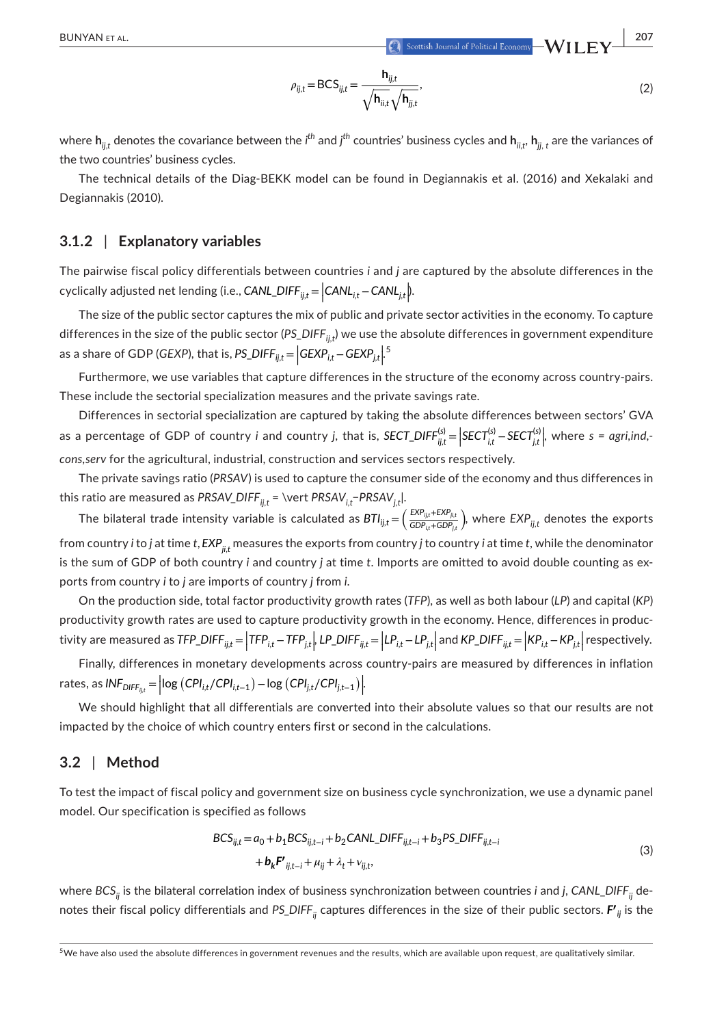**BUNYAN** ET AL. 207

$$
\rho_{ij,t} = \text{BCS}_{ij,t} = \frac{\mathbf{h}_{ij,t}}{\sqrt{\mathbf{h}_{ij,t}} \sqrt{\mathbf{h}_{jj,t}}},\tag{2}
$$

where  $\bm{h}_{ij,t}$  denotes the covariance between the i<sup>th</sup> and j<sup>th</sup> countries' business cycles and  $\bm{h}_{ii,t}$ ,  $\bm{h}_{jj,t}$  are the variances of the two countries' business cycles.

The technical details of the Diag‐BEKK model can be found in Degiannakis et al. (2016) and Xekalaki and Degiannakis (2010).

## **3.1.2** | **Explanatory variables**

The pairwise fiscal policy differentials between countries *i* and *j* are captured by the absolute differences in the cyclically adjusted net lending (i.e., *CANL*\_*DIFFij*,*<sup>t</sup>* =| | *CANLi*,*<sup>t</sup>* −*CANLj*,*<sup>t</sup>* | | ).

| | The size of the public sector captures the mix of public and private sector activities in the economy. To capture differences in the size of the public sector (*PS\_DIFF<sub>ii</sub>*,) we use the absolute differences in government expenditure as a share of GDP (GEXP), that is,  $PS\_DIFF_{ij,t} = \left| GEXP_{i,t} - GEXP_{j,t} \right|^{5}$ 

|<br>| Furthermore, we use variables that capture differences in the structure of the economy across country-pairs. These include the sectorial specialization measures and the private savings rate.

Differences in sectorial specialization are captured by taking the absolute differences between sectors' GVA as a percentage of GDP of country *i* and country *j*, that is, *SECT*\_*DIFF*(*s*) *ij*,*<sup>t</sup>* =| | *SECT*(*s*) *<sup>i</sup>*,*<sup>t</sup>* <sup>−</sup>*SECT*(*s*) *j*,*t* | | | | *cons,serv* for the agricultural, industrial, construction and services sectors respectively. , where *s = agri,ind,-*

The private savings ratio (*PRSAV*) is used to capture the consumer side of the economy and thus differences in this ratio are measured as *PRSAV*\_*DIFFij,t* = \vert *PRSAVi,t*−*PRSAVj,t*|.

The bilateral trade intensity variable is calculated as  $BTl_{ij,t} = \left(\frac{EXP_{ij,t} + EXP_{ji,t}}{GDP_{t} + GDP_{t}}\right)$ *GDPi*,*t*+*GDPj*,*<sup>t</sup>* ), where  $\textit{EXP}_{ij,t}$  denotes the exports from country *i* to *j* at time *t*, *EXPji*,*<sup>t</sup>* measures the exports from country *j* to country *i* at time *t*, while the denominator is the sum of GDP of both country *i* and country *j* at time *t*. Imports are omitted to avoid double counting as ex‐ ports from country *i* to *j* are imports of country *j* from *i*.

On the production side, total factor productivity growth rates (*TFP*), as well as both labour (*LP*) and capital (*KP*) productivity growth rates are used to capture productivity growth in the economy. Hence, differences in productivity are measured as  $\textit{TFP\_DIFF}_{ij,t} = \left|\textit{TFP}_{i,t}-\textit{TFP}_{j,t}\right|$  LP\_DIFF $_{ij,t} = \left|\textit{LP}_{i,t}-\textit{LP}_{j,t}\right|$  and  $\textit{KP\_DIFF}_{ij,t} = \left|\textit{KP}_{i,t}-\textit{KP}_{j,t}\right|$  respectively.

|<br>| Finally, differences in monetary developments across country-pairs are measured by differences in inflation rates, as  $INF_{DIFF_{ij,t}} = \left| \log (CPI_{i,t}/CPI_{i,t-1}) - \log (CPI_{j,t}/CPI_{j,t-1}) \right|$ .

| | We should highlight that all differentials are converted into their absolute values so that our results are not impacted by the choice of which country enters first or second in the calculations.

## **3.2** | **Method**

To test the impact of fiscal policy and government size on business cycle synchronization, we use a dynamic panel model. Our specification is specified as follows

$$
BCS_{ij,t} = a_0 + b_1 BCS_{ij,t-i} + b_2 CANL_DIFF_{ij,t-i} + b_3 PS_DIFF_{ij,t-i} + b_k F'_{ij,t-i} + \mu_{ij} + \lambda_t + \nu_{ij,t},
$$
\n(3)

where *BCS<sub>ii</sub>* is the bilateral correlation index of business synchronization between countries *i* and *j*, *CANL\_DIFF*<sub>ii</sub> denotes their fiscal policy differentials and *PS*\_*DIFFij* captures differences in the size of their public sectors. *F***′** *ij* is the

 $^{\rm 5}$ We have also used the absolute differences in government revenues and the results, which are available upon request, are qualitatively similar.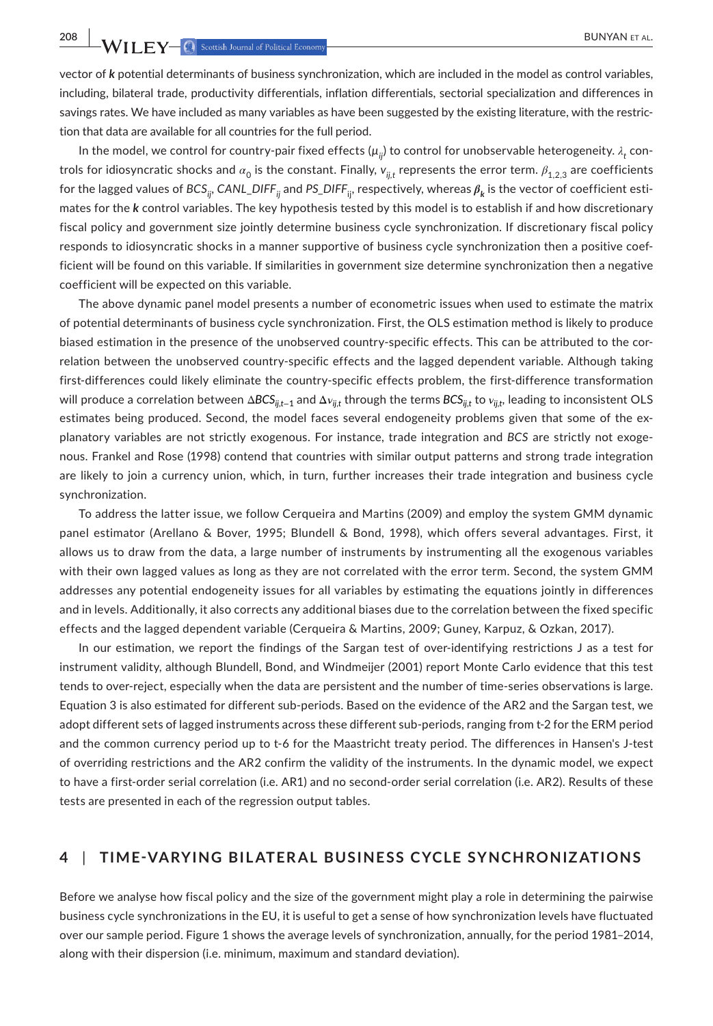**208 • WILEY-C** Scottish Journal of Political Economy **and Scottish Containers** BUNYAN ET AL.

vector of *k* potential determinants of business synchronization, which are included in the model as control variables, including, bilateral trade, productivity differentials, inflation differentials, sectorial specialization and differences in savings rates. We have included as many variables as have been suggested by the existing literature, with the restriction that data are available for all countries for the full period.

In the model, we control for country‐pair fixed effects (*µij*) to control for unobservable heterogeneity. *λ<sup>t</sup>* con‐ trols for idiosyncratic shocks and  $\alpha_0$  is the constant. Finally,  $v_{ii}$ , represents the error term.  $\beta_{1,2,3}$  are coefficients for the lagged values of *BCSij*, *CANL*\_*DIFFij* and *PS*\_*DIFF*ij, respectively, whereas *βk* is the vector of coefficient esti‐ mates for the *k* control variables. The key hypothesis tested by this model is to establish if and how discretionary fiscal policy and government size jointly determine business cycle synchronization. If discretionary fiscal policy responds to idiosyncratic shocks in a manner supportive of business cycle synchronization then a positive coefficient will be found on this variable. If similarities in government size determine synchronization then a negative coefficient will be expected on this variable.

The above dynamic panel model presents a number of econometric issues when used to estimate the matrix of potential determinants of business cycle synchronization. First, the OLS estimation method is likely to produce biased estimation in the presence of the unobserved country-specific effects. This can be attributed to the correlation between the unobserved country‐specific effects and the lagged dependent variable. Although taking first-differences could likely eliminate the country-specific effects problem, the first-difference transformation will produce a correlation between ∆BCS<sub>ij,t−1</sub> and Δ $v_{ij,t}$  through the terms BCS $_{ij,t}$  to  $v_{ij,t}$ , leading to inconsistent OLS estimates being produced. Second, the model faces several endogeneity problems given that some of the explanatory variables are not strictly exogenous. For instance, trade integration and *BCS* are strictly not exoge‐ nous. Frankel and Rose (1998) contend that countries with similar output patterns and strong trade integration are likely to join a currency union, which, in turn, further increases their trade integration and business cycle synchronization.

To address the latter issue, we follow Cerqueira and Martins (2009) and employ the system GMM dynamic panel estimator (Arellano & Bover, 1995; Blundell & Bond, 1998), which offers several advantages. First, it allows us to draw from the data, a large number of instruments by instrumenting all the exogenous variables with their own lagged values as long as they are not correlated with the error term. Second, the system GMM addresses any potential endogeneity issues for all variables by estimating the equations jointly in differences and in levels. Additionally, it also corrects any additional biases due to the correlation between the fixed specific effects and the lagged dependent variable (Cerqueira & Martins, 2009; Guney, Karpuz, & Ozkan, 2017).

In our estimation, we report the findings of the Sargan test of over-identifying restrictions J as a test for instrument validity, although Blundell, Bond, and Windmeijer (2001) report Monte Carlo evidence that this test tends to over-reject, especially when the data are persistent and the number of time-series observations is large. Equation 3 is also estimated for different sub‐periods. Based on the evidence of the AR2 and the Sargan test, we adopt different sets of lagged instruments across these different sub‐periods, ranging from t‐2 for the ERM period and the common currency period up to t-6 for the Maastricht treaty period. The differences in Hansen's J-test of overriding restrictions and the AR2 confirm the validity of the instruments. In the dynamic model, we expect to have a first‐order serial correlation (i.e. AR1) and no second‐order serial correlation (i.e. AR2). Results of these tests are presented in each of the regression output tables.

# **4** | **TIME‐VARYING BILATERAL BUSINESS CYCLE SYNCHRONIZATIONS**

Before we analyse how fiscal policy and the size of the government might play a role in determining the pairwise business cycle synchronizations in the EU, it is useful to get a sense of how synchronization levels have fluctuated over our sample period. Figure 1 shows the average levels of synchronization, annually, for the period 1981–2014, along with their dispersion (i.e. minimum, maximum and standard deviation).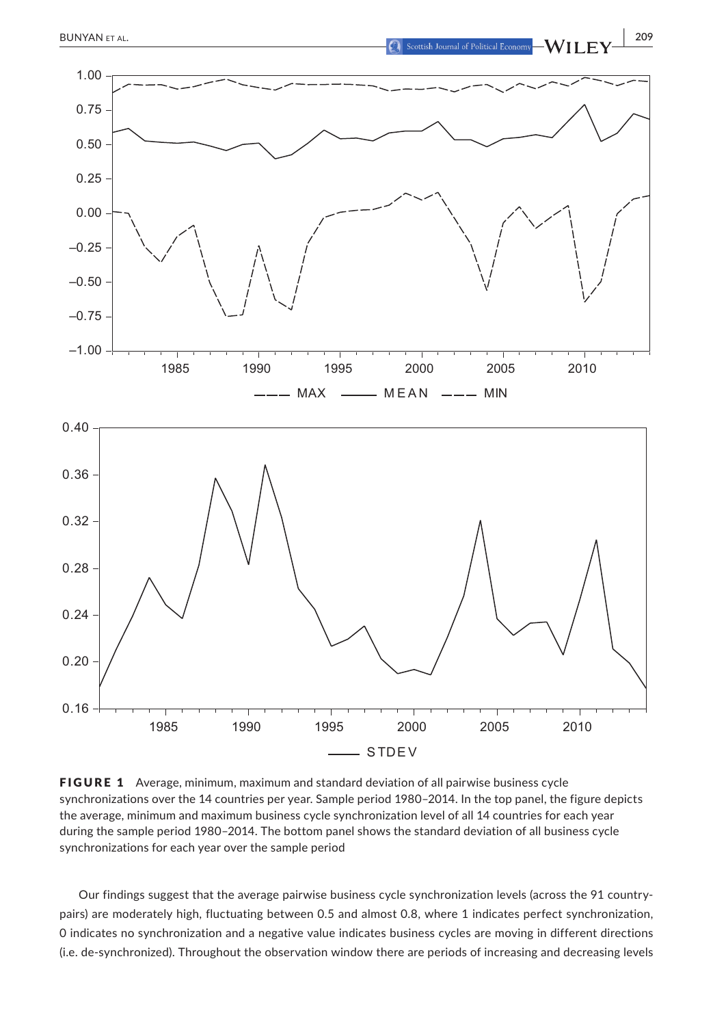

FIGURE 1 Average, minimum, maximum and standard deviation of all pairwise business cycle synchronizations over the 14 countries per year. Sample period 1980–2014. In the top panel, the figure depicts the average, minimum and maximum business cycle synchronization level of all 14 countries for each year during the sample period 1980–2014. The bottom panel shows the standard deviation of all business cycle synchronizations for each year over the sample period

Our findings suggest that the average pairwise business cycle synchronization levels (across the 91 country‐ pairs) are moderately high, fluctuating between 0.5 and almost 0.8, where 1 indicates perfect synchronization, 0 indicates no synchronization and a negative value indicates business cycles are moving in different directions (i.e. de‐synchronized). Throughout the observation window there are periods of increasing and decreasing levels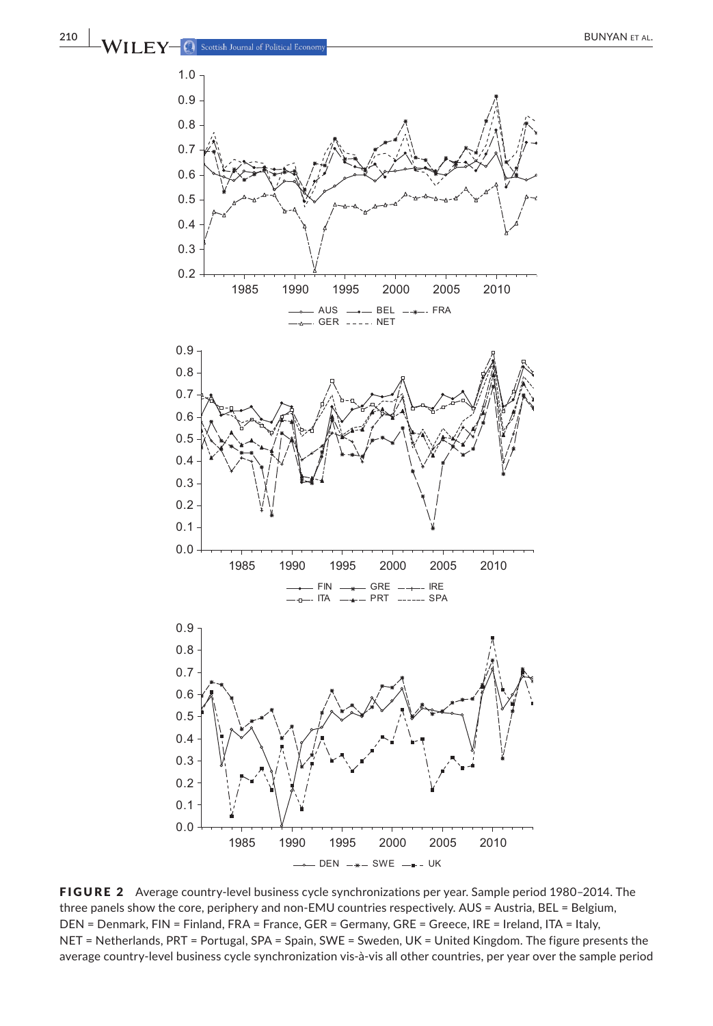

FIGURE 2 Average country-level business cycle synchronizations per year. Sample period 1980–2014. The three panels show the core, periphery and non‐EMU countries respectively. AUS = Austria, BEL = Belgium, DEN = Denmark, FIN = Finland, FRA = France, GER = Germany, GRE = Greece, IRE = Ireland, ITA = Italy, NET = Netherlands, PRT = Portugal, SPA = Spain, SWE = Sweden, UK = United Kingdom. The figure presents the average country‐level business cycle synchronization vis‐à‐vis all other countries, per year over the sample period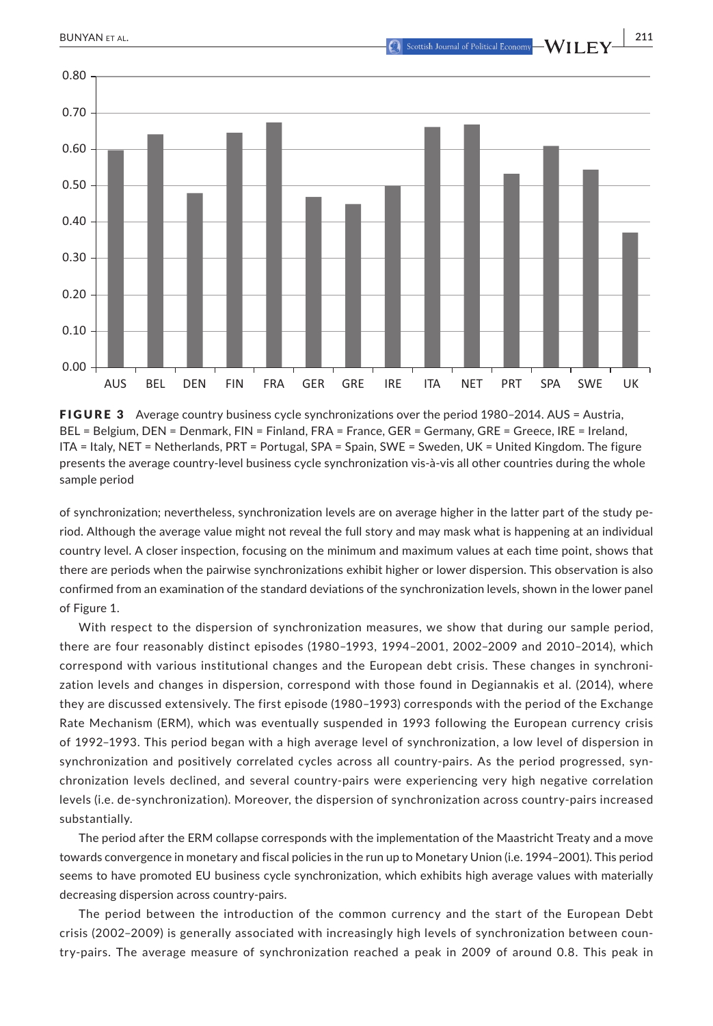

FIGURE 3 Average country business cycle synchronizations over the period 1980-2014. AUS = Austria, BEL = Belgium, DEN = Denmark, FIN = Finland, FRA = France, GER = Germany, GRE = Greece, IRE = Ireland, ITA = Italy, NET = Netherlands, PRT = Portugal, SPA = Spain, SWE = Sweden, UK = United Kingdom. The figure presents the average country‐level business cycle synchronization vis‐à‐vis all other countries during the whole sample period

of synchronization; nevertheless, synchronization levels are on average higher in the latter part of the study pe‐ riod. Although the average value might not reveal the full story and may mask what is happening at an individual country level. A closer inspection, focusing on the minimum and maximum values at each time point, shows that there are periods when the pairwise synchronizations exhibit higher or lower dispersion. This observation is also confirmed from an examination of the standard deviations of the synchronization levels, shown in the lower panel of Figure 1.

With respect to the dispersion of synchronization measures, we show that during our sample period, there are four reasonably distinct episodes (1980–1993, 1994–2001, 2002–2009 and 2010–2014), which correspond with various institutional changes and the European debt crisis. These changes in synchroni‐ zation levels and changes in dispersion, correspond with those found in Degiannakis et al. (2014), where they are discussed extensively. The first episode (1980–1993) corresponds with the period of the Exchange Rate Mechanism (ERM), which was eventually suspended in 1993 following the European currency crisis of 1992–1993. This period began with a high average level of synchronization, a low level of dispersion in synchronization and positively correlated cycles across all country-pairs. As the period progressed, synchronization levels declined, and several country‐pairs were experiencing very high negative correlation levels (i.e. de‐synchronization). Moreover, the dispersion of synchronization across country‐pairs increased substantially.

The period after the ERM collapse corresponds with the implementation of the Maastricht Treaty and a move towards convergence in monetary and fiscal policies in the run up to Monetary Union (i.e. 1994–2001). This period seems to have promoted EU business cycle synchronization, which exhibits high average values with materially decreasing dispersion across country‐pairs.

The period between the introduction of the common currency and the start of the European Debt crisis (2002–2009) is generally associated with increasingly high levels of synchronization between coun‐ try‐pairs. The average measure of synchronization reached a peak in 2009 of around 0.8. This peak in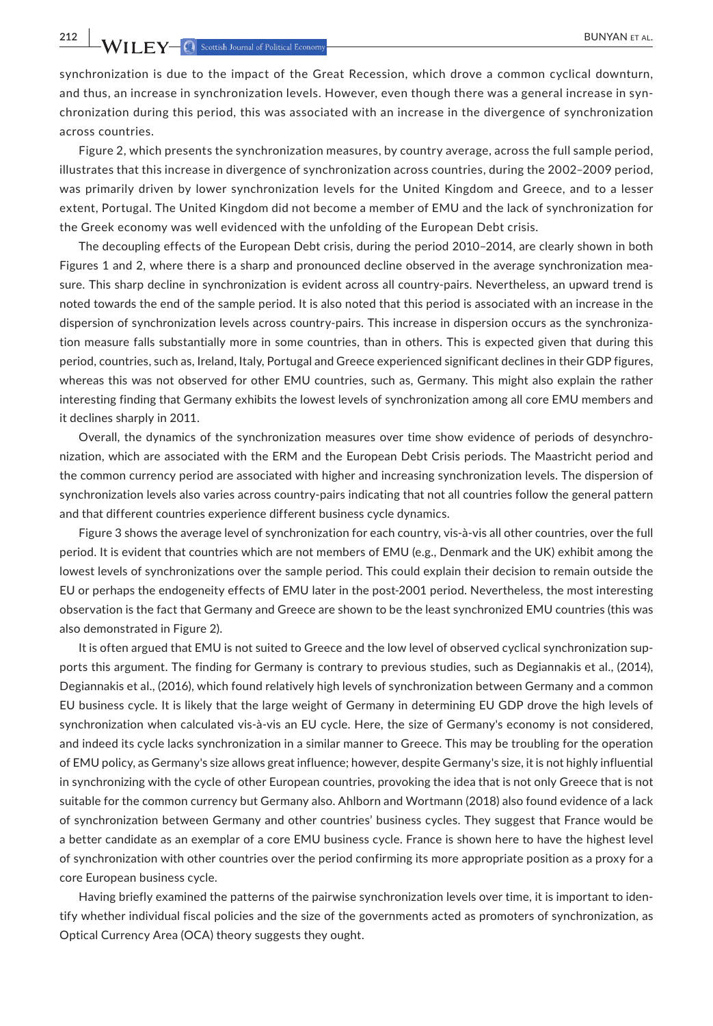**212 WII.FY WII.FY 20** Scottish Journal of Political Economy

synchronization is due to the impact of the Great Recession, which drove a common cyclical downturn, and thus, an increase in synchronization levels. However, even though there was a general increase in synchronization during this period, this was associated with an increase in the divergence of synchronization across countries.

Figure 2, which presents the synchronization measures, by country average, across the full sample period, illustrates that this increase in divergence of synchronization across countries, during the 2002–2009 period, was primarily driven by lower synchronization levels for the United Kingdom and Greece, and to a lesser extent, Portugal. The United Kingdom did not become a member of EMU and the lack of synchronization for the Greek economy was well evidenced with the unfolding of the European Debt crisis.

The decoupling effects of the European Debt crisis, during the period 2010–2014, are clearly shown in both Figures 1 and 2, where there is a sharp and pronounced decline observed in the average synchronization mea‐ sure. This sharp decline in synchronization is evident across all country-pairs. Nevertheless, an upward trend is noted towards the end of the sample period. It is also noted that this period is associated with an increase in the dispersion of synchronization levels across country-pairs. This increase in dispersion occurs as the synchronization measure falls substantially more in some countries, than in others. This is expected given that during this period, countries, such as, Ireland, Italy, Portugal and Greece experienced significant declines in their GDP figures, whereas this was not observed for other EMU countries, such as, Germany. This might also explain the rather interesting finding that Germany exhibits the lowest levels of synchronization among all core EMU members and it declines sharply in 2011.

Overall, the dynamics of the synchronization measures over time show evidence of periods of desynchro‐ nization, which are associated with the ERM and the European Debt Crisis periods. The Maastricht period and the common currency period are associated with higher and increasing synchronization levels. The dispersion of synchronization levels also varies across country-pairs indicating that not all countries follow the general pattern and that different countries experience different business cycle dynamics.

Figure 3 shows the average level of synchronization for each country, vis‐à‐vis all other countries, over the full period. It is evident that countries which are not members of EMU (e.g., Denmark and the UK) exhibit among the lowest levels of synchronizations over the sample period. This could explain their decision to remain outside the EU or perhaps the endogeneity effects of EMU later in the post-2001 period. Nevertheless, the most interesting observation is the fact that Germany and Greece are shown to be the least synchronized EMU countries (this was also demonstrated in Figure 2).

It is often argued that EMU is not suited to Greece and the low level of observed cyclical synchronization sup‐ ports this argument. The finding for Germany is contrary to previous studies, such as Degiannakis et al., (2014), Degiannakis et al., (2016), which found relatively high levels of synchronization between Germany and a common EU business cycle. It is likely that the large weight of Germany in determining EU GDP drove the high levels of synchronization when calculated vis‐à‐vis an EU cycle. Here, the size of Germany's economy is not considered, and indeed its cycle lacks synchronization in a similar manner to Greece. This may be troubling for the operation of EMU policy, as Germany's size allows great influence; however, despite Germany's size, it is not highly influential in synchronizing with the cycle of other European countries, provoking the idea that is not only Greece that is not suitable for the common currency but Germany also. Ahlborn and Wortmann (2018) also found evidence of a lack of synchronization between Germany and other countries' business cycles. They suggest that France would be a better candidate as an exemplar of a core EMU business cycle. France is shown here to have the highest level of synchronization with other countries over the period confirming its more appropriate position as a proxy for a core European business cycle.

Having briefly examined the patterns of the pairwise synchronization levels over time, it is important to iden‐ tify whether individual fiscal policies and the size of the governments acted as promoters of synchronization, as Optical Currency Area (OCA) theory suggests they ought.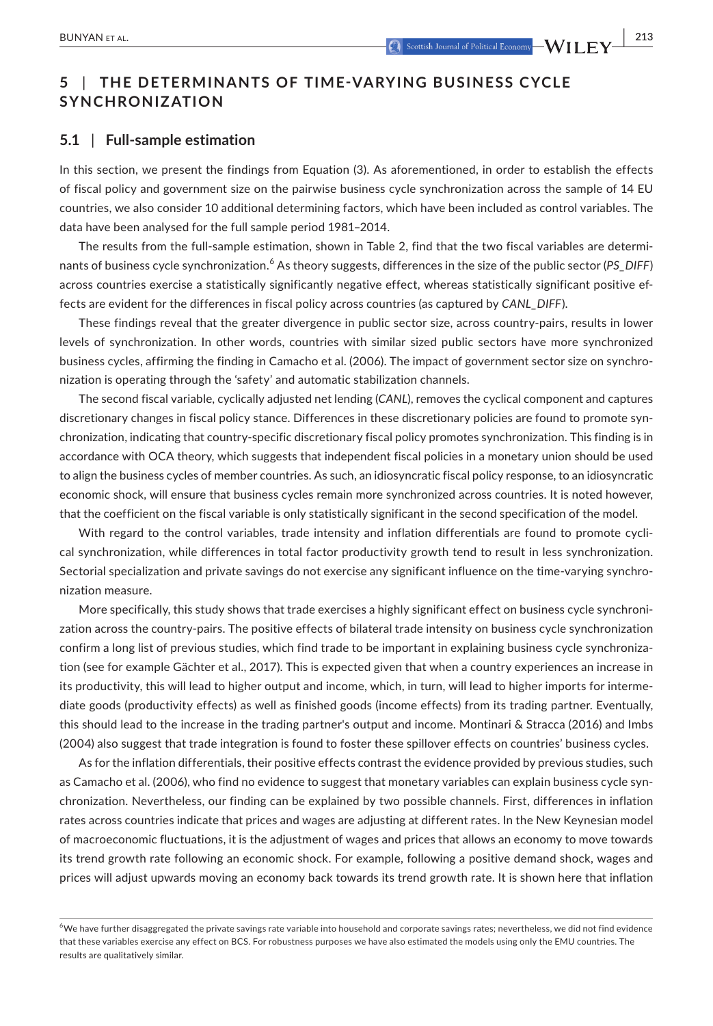# **5** | **THE DETERMINANTS OF TIME‐VARYING BUSINESS CYCLE SYNCHRONIZATION**

## **5.1** | **Full‐sample estimation**

In this section, we present the findings from Equation (3). As aforementioned, in order to establish the effects of fiscal policy and government size on the pairwise business cycle synchronization across the sample of 14 EU countries, we also consider 10 additional determining factors, which have been included as control variables. The data have been analysed for the full sample period 1981–2014.

The results from the full-sample estimation, shown in Table 2, find that the two fiscal variables are determinants of business cycle synchronization.<sup>6</sup> As theory suggests, differences in the size of the public sector (PS\_DIFF) across countries exercise a statistically significantly negative effect, whereas statistically significant positive ef‐ fects are evident for the differences in fiscal policy across countries (as captured by *CANL\_DIFF*).

These findings reveal that the greater divergence in public sector size, across country-pairs, results in lower levels of synchronization. In other words, countries with similar sized public sectors have more synchronized business cycles, affirming the finding in Camacho et al. (2006). The impact of government sector size on synchronization is operating through the 'safety' and automatic stabilization channels.

The second fiscal variable, cyclically adjusted net lending (*CANL*), removes the cyclical component and captures discretionary changes in fiscal policy stance. Differences in these discretionary policies are found to promote synchronization, indicating that country‐specific discretionary fiscal policy promotes synchronization. This finding is in accordance with OCA theory, which suggests that independent fiscal policies in a monetary union should be used to align the business cycles of member countries. As such, an idiosyncratic fiscal policy response, to an idiosyncratic economic shock, will ensure that business cycles remain more synchronized across countries. It is noted however, that the coefficient on the fiscal variable is only statistically significant in the second specification of the model.

With regard to the control variables, trade intensity and inflation differentials are found to promote cyclical synchronization, while differences in total factor productivity growth tend to result in less synchronization. Sectorial specialization and private savings do not exercise any significant influence on the time-varying synchronization measure.

More specifically, this study shows that trade exercises a highly significant effect on business cycle synchronization across the country‐pairs. The positive effects of bilateral trade intensity on business cycle synchronization confirm a long list of previous studies, which find trade to be important in explaining business cycle synchronization (see for example Gächter et al., 2017). This is expected given that when a country experiences an increase in its productivity, this will lead to higher output and income, which, in turn, will lead to higher imports for interme‐ diate goods (productivity effects) as well as finished goods (income effects) from its trading partner. Eventually, this should lead to the increase in the trading partner's output and income. Montinari & Stracca (2016) and Imbs (2004) also suggest that trade integration is found to foster these spillover effects on countries' business cycles.

As for the inflation differentials, their positive effects contrast the evidence provided by previous studies, such as Camacho et al. (2006), who find no evidence to suggest that monetary variables can explain business cycle syn‐ chronization. Nevertheless, our finding can be explained by two possible channels. First, differences in inflation rates across countries indicate that prices and wages are adjusting at different rates. In the New Keynesian model of macroeconomic fluctuations, it is the adjustment of wages and prices that allows an economy to move towards its trend growth rate following an economic shock. For example, following a positive demand shock, wages and prices will adjust upwards moving an economy back towards its trend growth rate. It is shown here that inflation

 $^6$ We have further disaggregated the private savings rate variable into household and corporate savings rates; nevertheless, we did not find evidence that these variables exercise any effect on BCS. For robustness purposes we have also estimated the models using only the EMU countries. The results are qualitatively similar.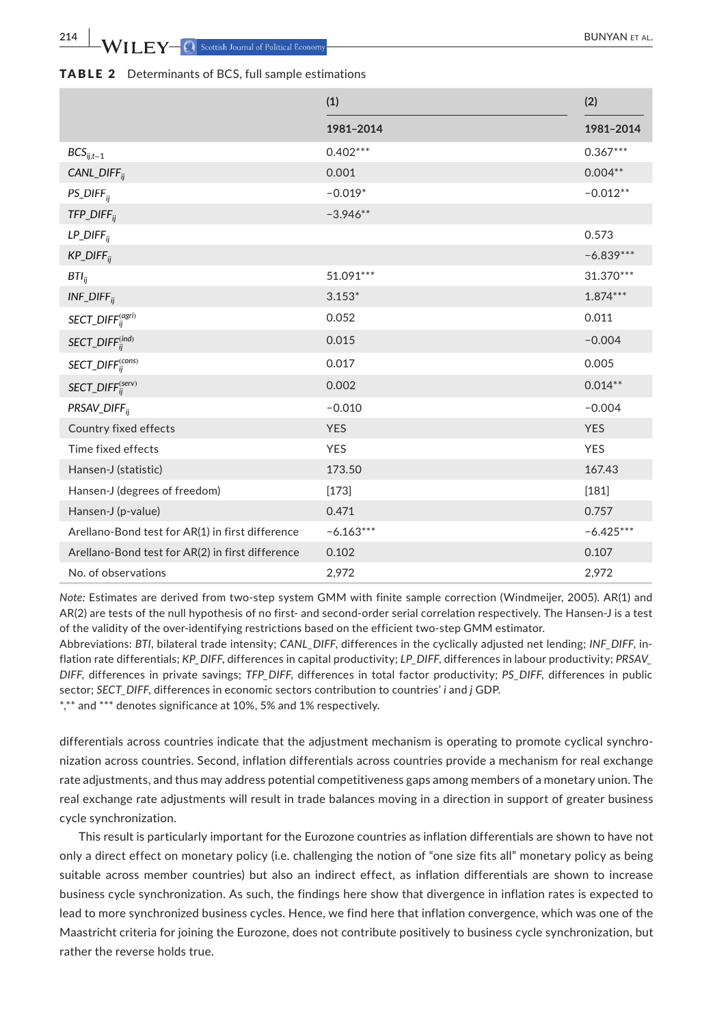| <b>TABLE 2</b> Determinants of BCS, full sample estimations |  |
|-------------------------------------------------------------|--|
|-------------------------------------------------------------|--|

|                                                       | (1)         | (2)         |
|-------------------------------------------------------|-------------|-------------|
|                                                       | 1981-2014   | 1981-2014   |
| $BCS_{ij,t-1}$                                        | $0.402***$  | $0.367***$  |
| CANL_DIFF <sub>ii</sub>                               | 0.001       | $0.004**$   |
| $PS$ <sub><i>DIFF</i><sup><math>ii</math></sup></sub> | $-0.019*$   | $-0.012**$  |
| TFP_DIFF <sub>ii</sub>                                | $-3.946**$  |             |
| $LP_$ DIFF $_{ii}$                                    |             | 0.573       |
| $KP$ <sub>Ii</sub>                                    |             | $-6.839***$ |
| $BTI_{ij}$                                            | 51.091***   | 31.370***   |
| $INF\_DIFF_{ij}$                                      | $3.153*$    | $1.874***$  |
| SECT_DIFF $_{ij}^{(agri)}$                            | 0.052       | 0.011       |
| $\mathsf{SECT\_DIFF}_{ij}^{(ind)}$                    | 0.015       | $-0.004$    |
| $SECT_DIFF_{ij}^{(cons)}$                             | 0.017       | 0.005       |
| $SECT$ _DIFF $_{ij}^{(serv)}$                         | 0.002       | $0.014**$   |
| PRSAV_DIFF <sub>ij</sub>                              | $-0.010$    | $-0.004$    |
| Country fixed effects                                 | <b>YES</b>  | <b>YES</b>  |
| Time fixed effects                                    | <b>YES</b>  | <b>YES</b>  |
| Hansen-J (statistic)                                  | 173.50      | 167.43      |
| Hansen-J (degrees of freedom)                         | $[173]$     | $[181]$     |
| Hansen-J (p-value)                                    | 0.471       | 0.757       |
| Arellano-Bond test for AR(1) in first difference      | $-6.163***$ | $-6.425***$ |
| Arellano-Bond test for AR(2) in first difference      | 0.102       | 0.107       |
| No. of observations                                   | 2,972       | 2,972       |

*Note:* Estimates are derived from two‐step system GMM with finite sample correction (Windmeijer, 2005). AR(1) and AR(2) are tests of the null hypothesis of no first- and second-order serial correlation respectively. The Hansen-J is a test of the validity of the over-identifying restrictions based on the efficient two-step GMM estimator.

Abbreviations: *BTI*, bilateral trade intensity; *CANL\_DIFF*, differences in the cyclically adjusted net lending; *INF\_DIFF*, in‐ flation rate differentials; *KP\_DIFF*, differences in capital productivity; *LP\_DIFF*, differences in labour productivity; *PRSAV\_ DIFF*, differences in private savings; *TFP\_DIFF*, differences in total factor productivity; *PS\_DIFF*, differences in public sector; *SECT\_DIFF*, differences in economic sectors contribution to countries' *i* and *j* GDP.

\*,\*\* and \*\*\* denotes significance at 10%, 5% and 1% respectively.

differentials across countries indicate that the adjustment mechanism is operating to promote cyclical synchro‐ nization across countries. Second, inflation differentials across countries provide a mechanism for real exchange rate adjustments, and thus may address potential competitiveness gaps among members of a monetary union. The real exchange rate adjustments will result in trade balances moving in a direction in support of greater business cycle synchronization.

This result is particularly important for the Eurozone countries as inflation differentials are shown to have not only a direct effect on monetary policy (i.e. challenging the notion of "one size fits all" monetary policy as being suitable across member countries) but also an indirect effect, as inflation differentials are shown to increase business cycle synchronization. As such, the findings here show that divergence in inflation rates is expected to lead to more synchronized business cycles. Hence, we find here that inflation convergence, which was one of the Maastricht criteria for joining the Eurozone, does not contribute positively to business cycle synchronization, but rather the reverse holds true.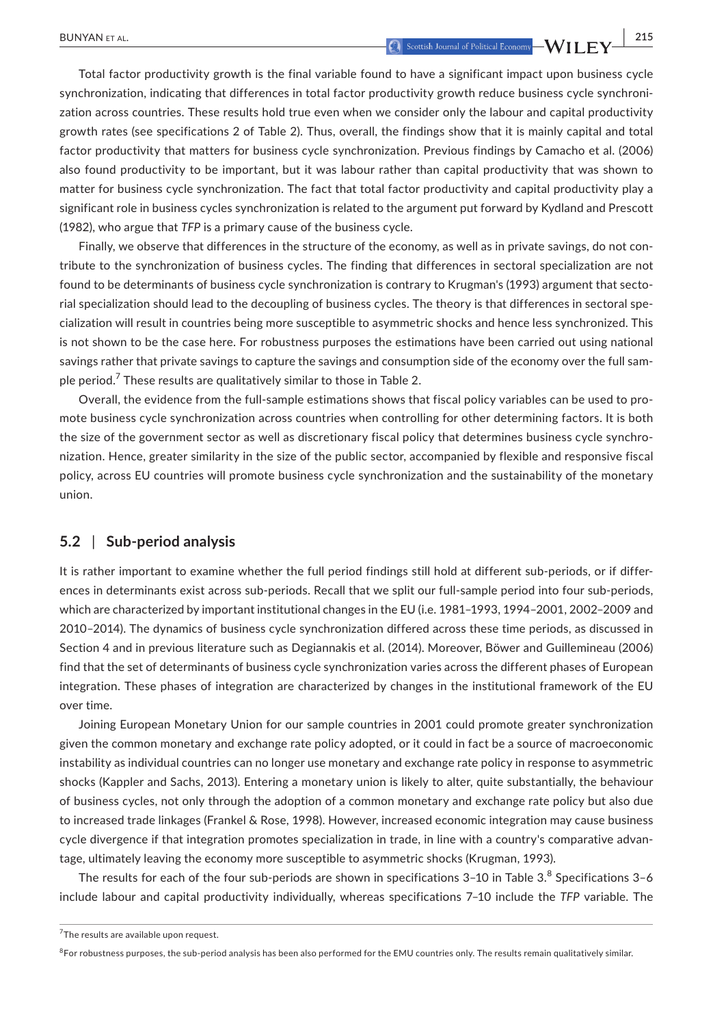Total factor productivity growth is the final variable found to have a significant impact upon business cycle synchronization, indicating that differences in total factor productivity growth reduce business cycle synchronization across countries. These results hold true even when we consider only the labour and capital productivity growth rates (see specifications 2 of Table 2). Thus, overall, the findings show that it is mainly capital and total factor productivity that matters for business cycle synchronization. Previous findings by Camacho et al. (2006) also found productivity to be important, but it was labour rather than capital productivity that was shown to matter for business cycle synchronization. The fact that total factor productivity and capital productivity play a significant role in business cycles synchronization is related to the argument put forward by Kydland and Prescott (1982), who argue that *TFP* is a primary cause of the business cycle.

Finally, we observe that differences in the structure of the economy, as well as in private savings, do not contribute to the synchronization of business cycles. The finding that differences in sectoral specialization are not found to be determinants of business cycle synchronization is contrary to Krugman's (1993) argument that sectorial specialization should lead to the decoupling of business cycles. The theory is that differences in sectoral spe‐ cialization will result in countries being more susceptible to asymmetric shocks and hence less synchronized. This is not shown to be the case here. For robustness purposes the estimations have been carried out using national savings rather that private savings to capture the savings and consumption side of the economy over the full sample period. $^7$  These results are qualitatively similar to those in Table 2.

Overall, the evidence from the full‐sample estimations shows that fiscal policy variables can be used to pro‐ mote business cycle synchronization across countries when controlling for other determining factors. It is both the size of the government sector as well as discretionary fiscal policy that determines business cycle synchronization. Hence, greater similarity in the size of the public sector, accompanied by flexible and responsive fiscal policy, across EU countries will promote business cycle synchronization and the sustainability of the monetary union.

## **5.2** | **Sub‐period analysis**

It is rather important to examine whether the full period findings still hold at different sub-periods, or if differences in determinants exist across sub-periods. Recall that we split our full-sample period into four sub-periods, which are characterized by important institutional changes in the EU (i.e. 1981–1993, 1994–2001, 2002–2009 and 2010–2014). The dynamics of business cycle synchronization differed across these time periods, as discussed in Section 4 and in previous literature such as Degiannakis et al. (2014). Moreover, Böwer and Guillemineau (2006) find that the set of determinants of business cycle synchronization varies across the different phases of European integration. These phases of integration are characterized by changes in the institutional framework of the EU over time.

Joining European Monetary Union for our sample countries in 2001 could promote greater synchronization given the common monetary and exchange rate policy adopted, or it could in fact be a source of macroeconomic instability as individual countries can no longer use monetary and exchange rate policy in response to asymmetric shocks (Kappler and Sachs, 2013). Entering a monetary union is likely to alter, quite substantially, the behaviour of business cycles, not only through the adoption of a common monetary and exchange rate policy but also due to increased trade linkages (Frankel & Rose, 1998). However, increased economic integration may cause business cycle divergence if that integration promotes specialization in trade, in line with a country's comparative advan‐ tage, ultimately leaving the economy more susceptible to asymmetric shocks (Krugman, 1993).

The results for each of the four sub-periods are shown in specifications 3–10 in Table 3. $^8$  Specifications 3–6 include labour and capital productivity individually, whereas specifications 7–10 include the *TFP* variable. The

 $7$ The results are available upon request.

 $^8$ For robustness purposes, the sub-period analysis has been also performed for the EMU countries only. The results remain qualitatively similar.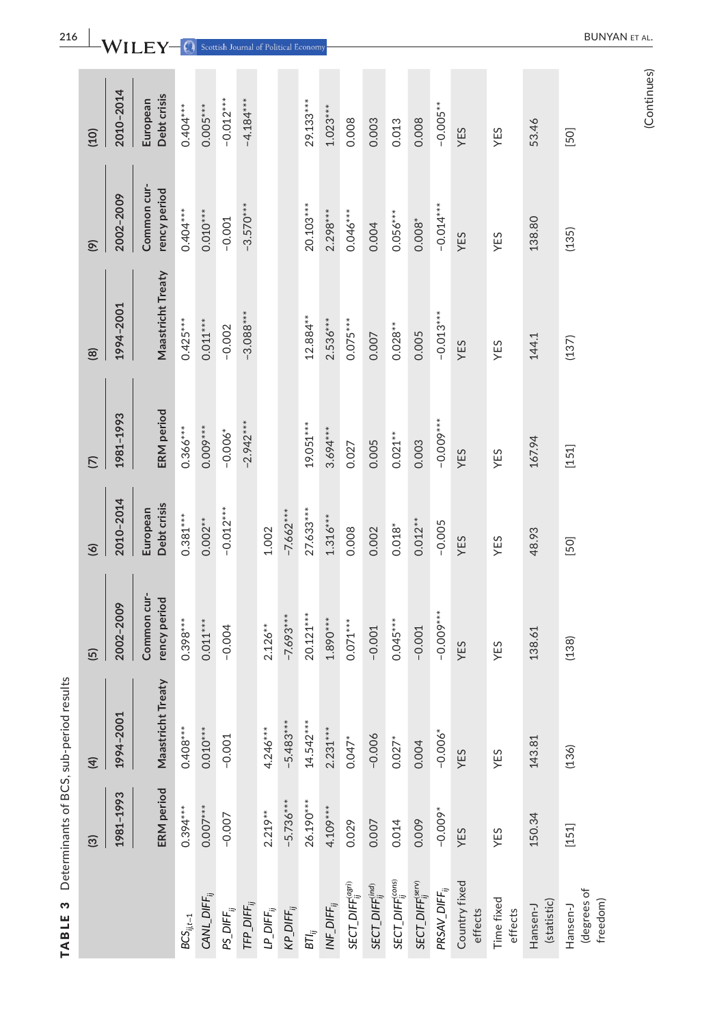|                                         | $\widehat{\mathcal{E}}$ | $\widehat{4}$     | $\overline{5}$              | $\odot$                 | $\overline{C}$ | $\circledR$       | $\widehat{\mathcal{C}}$     | (10)                    |
|-----------------------------------------|-------------------------|-------------------|-----------------------------|-------------------------|----------------|-------------------|-----------------------------|-------------------------|
|                                         | 1981-1993               | 1994-2001         | 2002-2009                   | 2010-2014               | 1981-1993      | 1994-2001         | 2002-2009                   | 2010-2014               |
|                                         | ERM period              | Maastricht Treaty | Common cur-<br>rency period | Debt crisis<br>European | ERM period     | Maastricht Treaty | Common cur-<br>rency period | Debt crisis<br>European |
| $\mathsf{BCS}_{\bar{\mathfrak{j}},t-1}$ | $0.394***$              | $0.408***$        | $0.398***$                  | $0.381***$              | $0.366***$     | $0.425***$        | $0.404***$                  | $0.404***$              |
| CANL_DIFF <sub>ii</sub>                 | $0.007***$              | $0.010***$        | $0.011***$                  | $0.002***$              | $0.009***$     | $0.011***$        | $0.010***$                  | $0.005***$              |
| $PS\_DIFF_{ij}$                         | $-0.007$                | $-0.001$          | $-0.004$                    | $-0.012***$             | $-0.006*$      | $-0.002$          | $-0.001$                    | $-0.012***$             |
| TFP_DIFF <sub>ii</sub>                  |                         |                   |                             |                         | $-2.942***$    | $-3.088***$       | $-3.570***$                 | $-4.184***$             |
| $\mathsf{LP\_DIFF}_{ij}$                | $2.219***$              | $4.246***$        | $2.126**$                   | 1.002                   |                |                   |                             |                         |
| $\mathsf{KP\_DIFF}_\mathit{ij}$         | $-5.736***$             | $-5.483***$       | $-7.693***$                 | $-7.662***$             |                |                   |                             |                         |
| $BTl_{ij}$                              | 26.190***               | $14.542***$       | $20.121***$                 | 27.633***               | 19.051***      | $12.884***$       | 20.103***                   | 29.133***               |
| INF_DIFF $_{\rm ij}$                    | 4.109***                | $2.231***$        | $1.890***$                  | $1.316***$              | $3.694***$     | $2.536***$        | $2.298***$                  | $1.023***$              |
| SECT_DIFF(agri)                         | 0.029                   | $0.047*$          | $0.071***$                  | 0.008                   | 0.027          | $0.075***$        | $0.046***$                  | 0.008                   |
| $SECT_D$ IFF $_i^{(ind)}$               | 0.007                   | $-0.006$          | $-0.001$                    | 0.002                   | 0.005          | 0.007             | 0.004                       | 0.003                   |
| $SECT_DIF^{\text{(cons)}}_{ij}$         | 0.014                   | $0.027*$          | $0.045***$                  | $0.018*$                | $0.021***$     | $0.028***$        | $0.056***$                  | 0.013                   |
| SECT_DIFF(serv)                         | 0.009                   | 0.004             | $-0.001$                    | $0.012**$               | 0.003          | 0.005             | $0.008*$                    | 0.008                   |
| PRSAV_DIFF <sub>ij</sub>                | $-0.009*$               | $-0.006*$         | $-0.009***$                 | $-0.005$                | $-0.009***$    | $-0.013***$       | $-0.014***$                 | $-0.005***$             |
| Country fixed<br>effects                | YES                     | YES               | YES                         | YES                     | YES            | YES               | YES                         | YES                     |
| Time fixed<br>effects                   | YES                     | YES               | YES                         | YES                     | YES            | YES               | YES                         | YES                     |
| (statistic)<br>Hansen-J                 | 150.34                  | 143.81            | 138.61                      | 48.93                   | 167.94         | 144.1             | 138.80                      | 53.46                   |
| (degrees of<br>freedom)<br>Hansen-J     | [151]                   | (136)             | (138)                       | $[50]$                  | $[151]$        | (137)             | (135)                       | $[50]$                  |

TABLE 3 Determinants of BCS, sub-period results TABLE 3 Determinants of BCS, sub‐period results

<sup>(</sup>Continues) (Continues)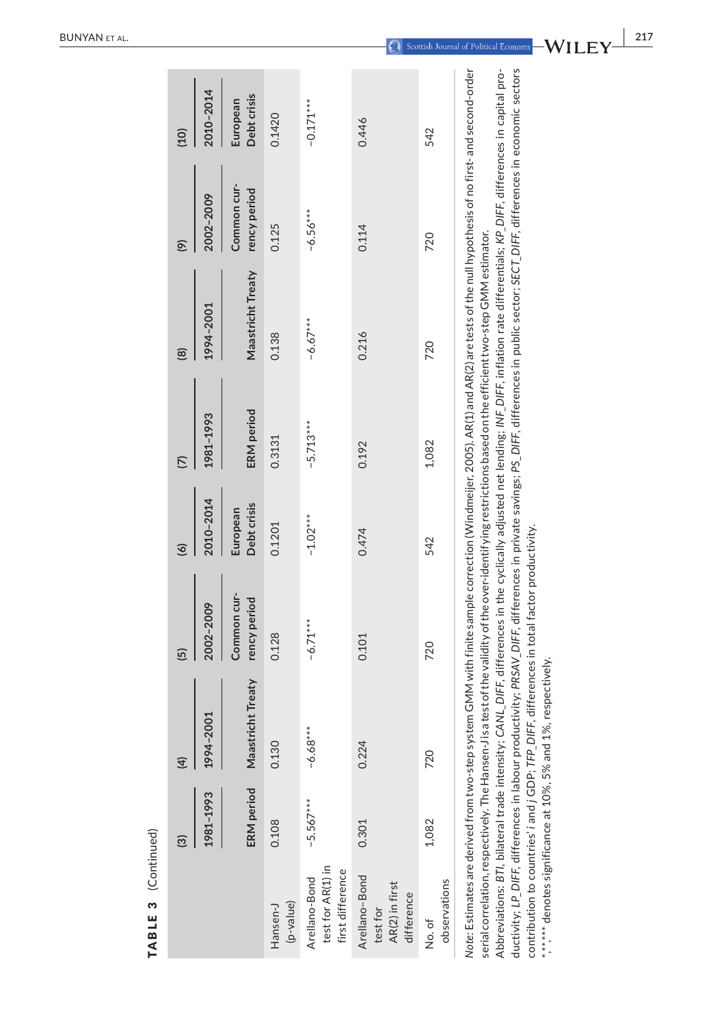| TABLE 3 (Continued)                                       |             |                                                                                                                                                                                                                                                                                                                                                                                                                                                                                                                                                                                                                                                                                                                                                                                                                                                                                                              |                             |                         |                   |                   |                             |                         |
|-----------------------------------------------------------|-------------|--------------------------------------------------------------------------------------------------------------------------------------------------------------------------------------------------------------------------------------------------------------------------------------------------------------------------------------------------------------------------------------------------------------------------------------------------------------------------------------------------------------------------------------------------------------------------------------------------------------------------------------------------------------------------------------------------------------------------------------------------------------------------------------------------------------------------------------------------------------------------------------------------------------|-----------------------------|-------------------------|-------------------|-------------------|-----------------------------|-------------------------|
|                                                           | ම           | $\overline{4}$                                                                                                                                                                                                                                                                                                                                                                                                                                                                                                                                                                                                                                                                                                                                                                                                                                                                                               | 6                           | <u>ම</u>                | $\overline{C}$    | $\overline{a}$    | $\overline{e}$              | (10)                    |
|                                                           | 1981-1993   | 1994-2001                                                                                                                                                                                                                                                                                                                                                                                                                                                                                                                                                                                                                                                                                                                                                                                                                                                                                                    | 2002-2009                   | 2010-2014               | 1981-1993         | 1994-2001         | 2002-2009                   | 2010-2014               |
|                                                           | ERM period  | Maastricht Treaty                                                                                                                                                                                                                                                                                                                                                                                                                                                                                                                                                                                                                                                                                                                                                                                                                                                                                            | Common cur-<br>rency period | Debt crisis<br>European | <b>ERM</b> period | Maastricht Treaty | Common cur-<br>rency period | Debt crisis<br>European |
| (p-value)<br>Hansen-J                                     | 0.108       | 0.130                                                                                                                                                                                                                                                                                                                                                                                                                                                                                                                                                                                                                                                                                                                                                                                                                                                                                                        | 0.128                       | 0.1201                  | 0.3131            | 0.138             | 0.125                       | 0.1420                  |
| test for AR(1) in<br>first difference<br>Arellano-Bond    | $-5.567***$ | $-6.68***$                                                                                                                                                                                                                                                                                                                                                                                                                                                                                                                                                                                                                                                                                                                                                                                                                                                                                                   | $-6.71***$                  | $-1.02***$              | $-5.713***$       | $-6.67***$        | $-6.56***$                  | $-0.171***$             |
| Arellano-Bond<br>AR(2) in first<br>difference<br>test for | 0.301       | 0.224                                                                                                                                                                                                                                                                                                                                                                                                                                                                                                                                                                                                                                                                                                                                                                                                                                                                                                        | 0.101                       | 0.474                   | 0.192             | 0.216             | 0.114                       | 0.446                   |
| observations<br>No. of                                    | 1,082       | 720                                                                                                                                                                                                                                                                                                                                                                                                                                                                                                                                                                                                                                                                                                                                                                                                                                                                                                          | 720                         | 542                     | 1,082             | 720               | 720                         | 542                     |
|                                                           |             | Note: Estimates are derived from two-step system GMM with finite sample correction (Windmeijer, 2005). AR(1) and AR(2) are tests of the null hypothesis of no first- and second-order<br>ductivity; LP_DIFF, differences in labour productivity; PRSAV_DIFF, differences in private savings; PS_DIFF, differences in public sector; SECT_DIFF, differences in economic sectors<br>Abbreviations: BTI, bilateral trade intensity; CANL_DIFF, differences in the cyclically adjusted net lending; INF_DIFF, inflation rate differentials; KP_DIFF, differences in capital pro-<br>serial correlation, respectively. The Hansen-J is a test of the validity of the over-identifying restrictions based on the efficient two-step GMM estimator.<br>contribution to countries' i and j GDP; TFP_DIFF, differences in total factor productivity.<br>******* denotes significance at 10%, 5% and 1%, respectively. |                             |                         |                   |                   |                             |                         |

**WILEY**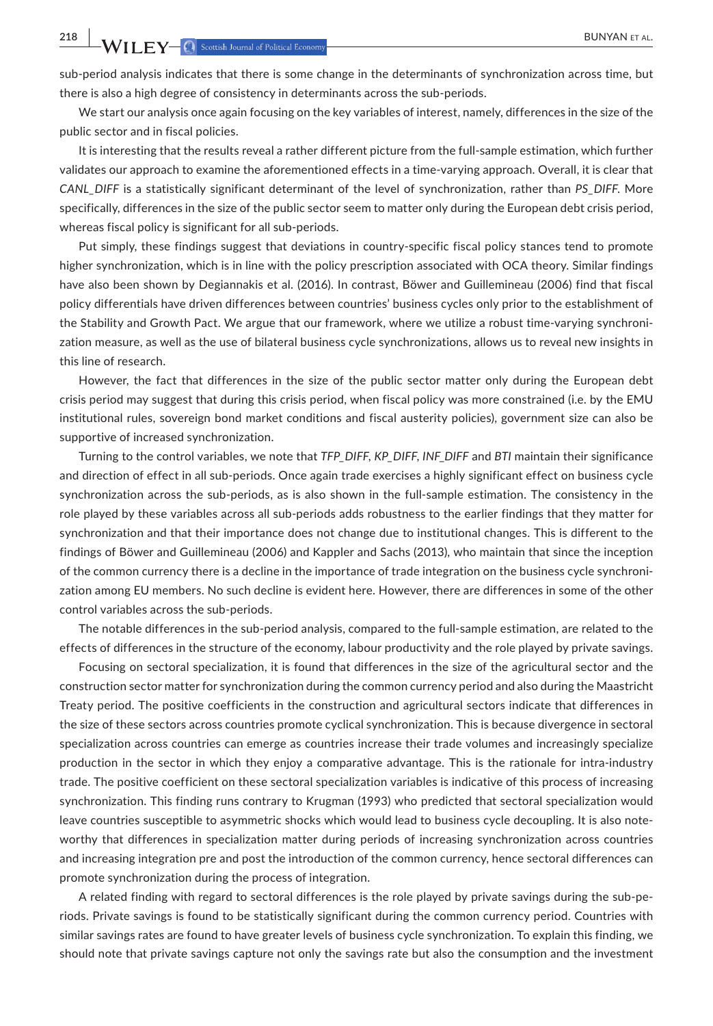**218 • WILEY-C** Scottish Journal of Political Economy **Research 2018** • BUNYAN ET AL.

sub‐period analysis indicates that there is some change in the determinants of synchronization across time, but there is also a high degree of consistency in determinants across the sub‐periods.

We start our analysis once again focusing on the key variables of interest, namely, differences in the size of the public sector and in fiscal policies.

It is interesting that the results reveal a rather different picture from the full‐sample estimation, which further validates our approach to examine the aforementioned effects in a time‐varying approach. Overall, it is clear that *CANL\_DIFF* is a statistically significant determinant of the level of synchronization, rather than *PS\_DIFF*. More specifically, differences in the size of the public sector seem to matter only during the European debt crisis period, whereas fiscal policy is significant for all sub-periods.

Put simply, these findings suggest that deviations in country-specific fiscal policy stances tend to promote higher synchronization, which is in line with the policy prescription associated with OCA theory. Similar findings have also been shown by Degiannakis et al. (2016). In contrast, Böwer and Guillemineau (2006) find that fiscal policy differentials have driven differences between countries' business cycles only prior to the establishment of the Stability and Growth Pact. We argue that our framework, where we utilize a robust time-varying synchronization measure, as well as the use of bilateral business cycle synchronizations, allows us to reveal new insights in this line of research.

However, the fact that differences in the size of the public sector matter only during the European debt crisis period may suggest that during this crisis period, when fiscal policy was more constrained (i.e. by the EMU institutional rules, sovereign bond market conditions and fiscal austerity policies), government size can also be supportive of increased synchronization.

Turning to the control variables, we note that *TFP\_DIFF*, *KP\_DIFF*, *INF*\_*DIFF* and *BTI* maintain their significance and direction of effect in all sub‐periods. Once again trade exercises a highly significant effect on business cycle synchronization across the sub-periods, as is also shown in the full-sample estimation. The consistency in the role played by these variables across all sub‐periods adds robustness to the earlier findings that they matter for synchronization and that their importance does not change due to institutional changes. This is different to the findings of Böwer and Guillemineau (2006) and Kappler and Sachs (2013), who maintain that since the inception of the common currency there is a decline in the importance of trade integration on the business cycle synchronization among EU members. No such decline is evident here. However, there are differences in some of the other control variables across the sub‐periods.

The notable differences in the sub-period analysis, compared to the full-sample estimation, are related to the effects of differences in the structure of the economy, labour productivity and the role played by private savings.

Focusing on sectoral specialization, it is found that differences in the size of the agricultural sector and the construction sector matter for synchronization during the common currency period and also during the Maastricht Treaty period. The positive coefficients in the construction and agricultural sectors indicate that differences in the size of these sectors across countries promote cyclical synchronization. This is because divergence in sectoral specialization across countries can emerge as countries increase their trade volumes and increasingly specialize production in the sector in which they enjoy a comparative advantage. This is the rationale for intra‐industry trade. The positive coefficient on these sectoral specialization variables is indicative of this process of increasing synchronization. This finding runs contrary to Krugman (1993) who predicted that sectoral specialization would leave countries susceptible to asymmetric shocks which would lead to business cycle decoupling. It is also note‐ worthy that differences in specialization matter during periods of increasing synchronization across countries and increasing integration pre and post the introduction of the common currency, hence sectoral differences can promote synchronization during the process of integration.

A related finding with regard to sectoral differences is the role played by private savings during the sub‐pe‐ riods. Private savings is found to be statistically significant during the common currency period. Countries with similar savings rates are found to have greater levels of business cycle synchronization. To explain this finding, we should note that private savings capture not only the savings rate but also the consumption and the investment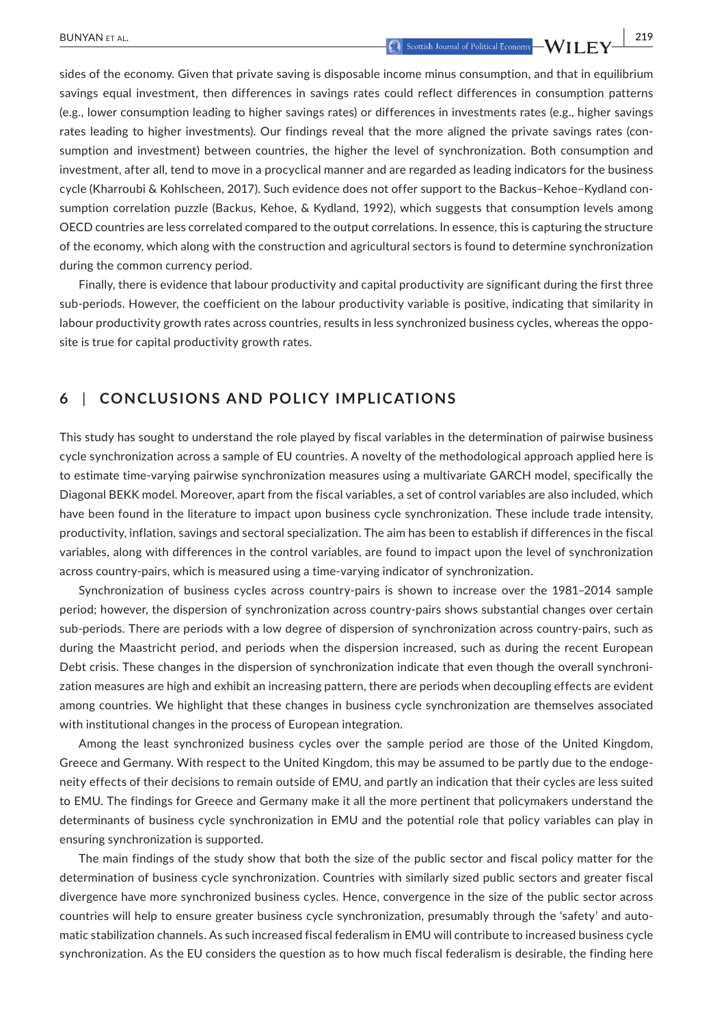sides of the economy. Given that private saving is disposable income minus consumption, and that in equilibrium savings equal investment, then differences in savings rates could reflect differences in consumption patterns (e.g., lower consumption leading to higher savings rates) or differences in investments rates (e.g., higher savings rates leading to higher investments). Our findings reveal that the more aligned the private savings rates (consumption and investment) between countries, the higher the level of synchronization. Both consumption and investment, after all, tend to move in a procyclical manner and are regarded as leading indicators for the business cycle (Kharroubi & Kohlscheen, 2017). Such evidence does not offer support to the Backus-Kehoe-Kydland consumption correlation puzzle (Backus, Kehoe, & Kydland, 1992), which suggests that consumption levels among OECD countries are less correlated compared to the output correlations. In essence, this is capturing the structure of the economy, which along with the construction and agricultural sectors is found to determine synchronization

during the common currency period.

Finally, there is evidence that labour productivity and capital productivity are significant during the first three sub-periods. However, the coefficient on the labour productivity variable is positive, indicating that similarity in labour productivity growth rates across countries, results in less synchronized business cycles, whereas the opposite is true for capital productivity growth rates.

# **6** | **CONCLUSIONS AND POLICY IMPLICATIONS**

This study has sought to understand the role played by fiscal variables in the determination of pairwise business cycle synchronization across a sample of EU countries. A novelty of the methodological approach applied here is to estimate time‐varying pairwise synchronization measures using a multivariate GARCH model, specifically the Diagonal BEKK model. Moreover, apart from the fiscal variables, a set of control variables are also included, which have been found in the literature to impact upon business cycle synchronization. These include trade intensity, productivity, inflation, savings and sectoral specialization. The aim has been to establish if differences in the fiscal variables, along with differences in the control variables, are found to impact upon the level of synchronization across country‐pairs, which is measured using a time‐varying indicator of synchronization.

Synchronization of business cycles across country-pairs is shown to increase over the 1981-2014 sample period; however, the dispersion of synchronization across country-pairs shows substantial changes over certain sub-periods. There are periods with a low degree of dispersion of synchronization across country-pairs, such as during the Maastricht period, and periods when the dispersion increased, such as during the recent European Debt crisis. These changes in the dispersion of synchronization indicate that even though the overall synchronization measures are high and exhibit an increasing pattern, there are periods when decoupling effects are evident among countries. We highlight that these changes in business cycle synchronization are themselves associated with institutional changes in the process of European integration.

Among the least synchronized business cycles over the sample period are those of the United Kingdom, Greece and Germany. With respect to the United Kingdom, this may be assumed to be partly due to the endogeneity effects of their decisions to remain outside of EMU, and partly an indication that their cycles are less suited to EMU. The findings for Greece and Germany make it all the more pertinent that policymakers understand the determinants of business cycle synchronization in EMU and the potential role that policy variables can play in ensuring synchronization is supported.

The main findings of the study show that both the size of the public sector and fiscal policy matter for the determination of business cycle synchronization. Countries with similarly sized public sectors and greater fiscal divergence have more synchronized business cycles. Hence, convergence in the size of the public sector across countries will help to ensure greater business cycle synchronization, presumably through the 'safety' and auto‐ matic stabilization channels. As such increased fiscal federalism in EMU will contribute to increased business cycle synchronization. As the EU considers the question as to how much fiscal federalism is desirable, the finding here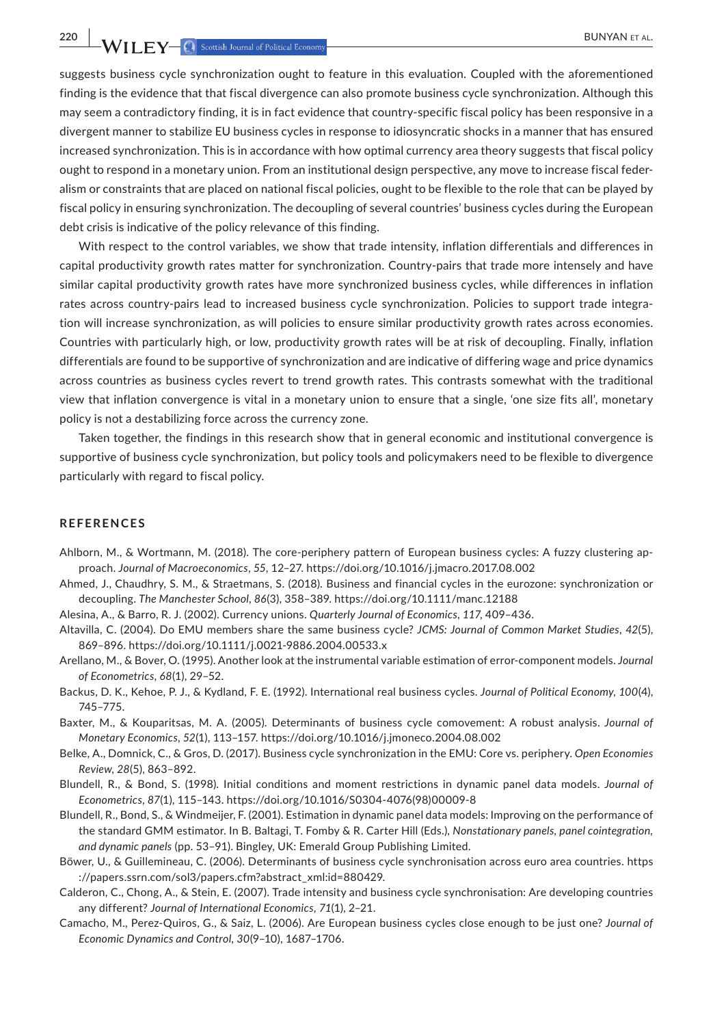**220 WILEY-C** Scottish Journal of Political Economy

suggests business cycle synchronization ought to feature in this evaluation. Coupled with the aforementioned finding is the evidence that that fiscal divergence can also promote business cycle synchronization. Although this may seem a contradictory finding, it is in fact evidence that country‐specific fiscal policy has been responsive in a divergent manner to stabilize EU business cycles in response to idiosyncratic shocks in a manner that has ensured increased synchronization. This is in accordance with how optimal currency area theory suggests that fiscal policy ought to respond in a monetary union. From an institutional design perspective, any move to increase fiscal feder‐ alism or constraints that are placed on national fiscal policies, ought to be flexible to the role that can be played by fiscal policy in ensuring synchronization. The decoupling of several countries' business cycles during the European debt crisis is indicative of the policy relevance of this finding.

With respect to the control variables, we show that trade intensity, inflation differentials and differences in capital productivity growth rates matter for synchronization. Country‐pairs that trade more intensely and have similar capital productivity growth rates have more synchronized business cycles, while differences in inflation rates across country-pairs lead to increased business cycle synchronization. Policies to support trade integration will increase synchronization, as will policies to ensure similar productivity growth rates across economies. Countries with particularly high, or low, productivity growth rates will be at risk of decoupling. Finally, inflation differentials are found to be supportive of synchronization and are indicative of differing wage and price dynamics across countries as business cycles revert to trend growth rates. This contrasts somewhat with the traditional view that inflation convergence is vital in a monetary union to ensure that a single, 'one size fits all', monetary policy is not a destabilizing force across the currency zone.

Taken together, the findings in this research show that in general economic and institutional convergence is supportive of business cycle synchronization, but policy tools and policymakers need to be flexible to divergence particularly with regard to fiscal policy.

## **REFERENCES**

- Ahlborn, M., & Wortmann, M. (2018). The core-periphery pattern of European business cycles: A fuzzy clustering approach. *Journal of Macroeconomics*, *55*, 12–27.<https://doi.org/10.1016/j.jmacro.2017.08.002>
- Ahmed, J., Chaudhry, S. M., & Straetmans, S. (2018). Business and financial cycles in the eurozone: synchronization or decoupling. *The Manchester School*, *86*(3), 358–389.<https://doi.org/10.1111/manc.12188>
- Alesina, A., & Barro, R. J. (2002). Currency unions. *Quarterly Journal of Economics*, *117*, 409–436.
- Altavilla, C. (2004). Do EMU members share the same business cycle? *JCMS: Journal of Common Market Studies*, *42*(5), 869–896. <https://doi.org/10.1111/j.0021-9886.2004.00533.x>
- Arellano, M., & Bover, O. (1995). Another look at the instrumental variable estimation of error‐component models. *Journal of Econometrics*, *68*(1), 29–52.
- Backus, D. K., Kehoe, P. J., & Kydland, F. E. (1992). International real business cycles. *Journal of Political Economy*, *100*(4), 745–775.
- Baxter, M., & Kouparitsas, M. A. (2005). Determinants of business cycle comovement: A robust analysis. *Journal of Monetary Economics*, *52*(1), 113–157. <https://doi.org/10.1016/j.jmoneco.2004.08.002>
- Belke, A., Domnick, C., & Gros, D. (2017). Business cycle synchronization in the EMU: Core vs. periphery. *Open Economies Review*, *28*(5), 863–892.
- Blundell, R., & Bond, S. (1998). Initial conditions and moment restrictions in dynamic panel data models. *Journal of Econometrics*, *87*(1), 115–143. [https://doi.org/10.1016/S0304-4076\(98\)00009-8](https://doi.org/10.1016/S0304-4076(98)00009-8)
- Blundell, R., Bond, S., & Windmeijer, F. (2001). Estimation in dynamic panel data models: Improving on the performance of the standard GMM estimator. In B. Baltagi, T. Fomby & R. Carter Hill (Eds.), *Nonstationary panels, panel cointegration, and dynamic panels* (pp. 53–91). Bingley, UK: Emerald Group Publishing Limited.
- Böwer, U., & Guillemineau, C. (2006). Determinants of business cycle synchronisation across euro area countries. [https](https://papers.ssrn.com/sol3/papers.cfm?abstract_xml:id=880429) [://papers.ssrn.com/sol3/papers.cfm?abstract\\_xml:id=880429](https://papers.ssrn.com/sol3/papers.cfm?abstract_xml:id=880429).
- Calderon, C., Chong, A., & Stein, E. (2007). Trade intensity and business cycle synchronisation: Are developing countries any different? *Journal of International Economics*, *71*(1), 2–21.
- Camacho, M., Perez‐Quiros, G., & Saiz, L. (2006). Are European business cycles close enough to be just one? *Journal of Economic Dynamics and Control*, *30*(9–10), 1687–1706.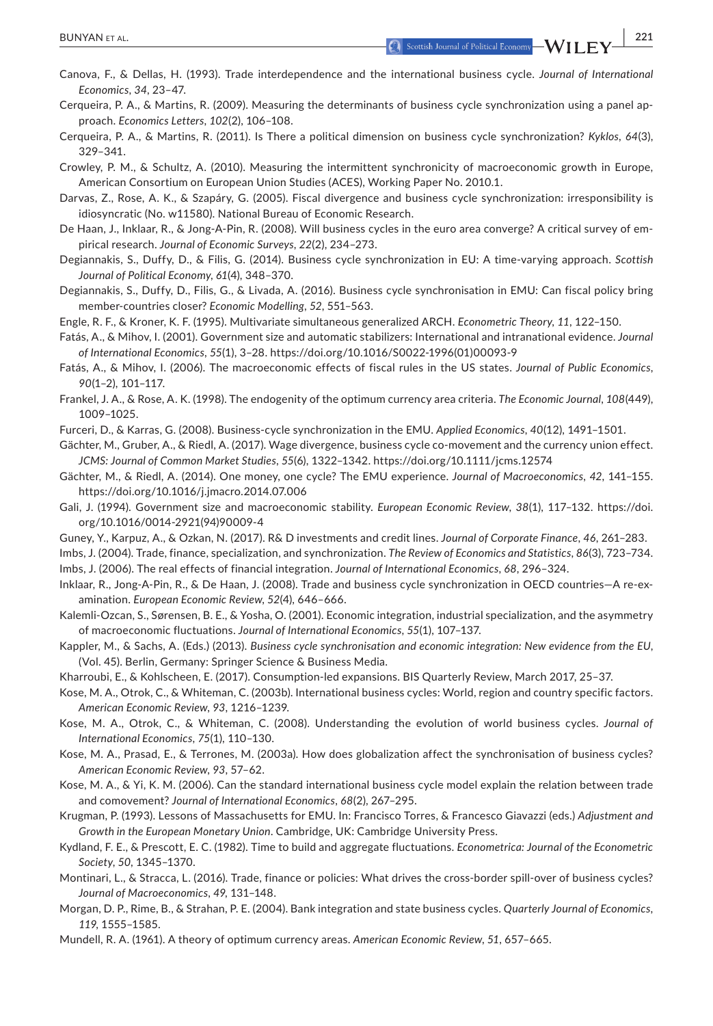- Canova, F., & Dellas, H. (1993). Trade interdependence and the international business cycle. *Journal of International Economics*, *34*, 23–47.
- Cerqueira, P. A., & Martins, R. (2009). Measuring the determinants of business cycle synchronization using a panel ap‐ proach. *Economics Letters*, *102*(2), 106–108.
- Cerqueira, P. A., & Martins, R. (2011). Is There a political dimension on business cycle synchronization? *Kyklos*, *64*(3), 329–341.

Crowley, P. M., & Schultz, A. (2010). Measuring the intermittent synchronicity of macroeconomic growth in Europe, American Consortium on European Union Studies (ACES), Working Paper No. 2010.1.

Darvas, Z., Rose, A. K., & Szapáry, G. (2005). Fiscal divergence and business cycle synchronization: irresponsibility is idiosyncratic (No. w11580). National Bureau of Economic Research.

- De Haan, J., Inklaar, R., & Jong-A-Pin, R. (2008). Will business cycles in the euro area converge? A critical survey of empirical research. *Journal of Economic Surveys*, *22*(2), 234–273.
- Degiannakis, S., Duffy, D., & Filis, G. (2014). Business cycle synchronization in EU: A time‐varying approach. *Scottish Journal of Political Economy*, *61*(4), 348–370.

Degiannakis, S., Duffy, D., Filis, G., & Livada, A. (2016). Business cycle synchronisation in EMU: Can fiscal policy bring member‐countries closer? *Economic Modelling*, *52*, 551–563.

Engle, R. F., & Kroner, K. F. (1995). Multivariate simultaneous generalized ARCH. *Econometric Theory*, *11*, 122–150.

Fatás, A., & Mihov, I. (2001). Government size and automatic stabilizers: International and intranational evidence. *Journal of International Economics*, *55*(1), 3–28. [https://doi.org/10.1016/S0022-1996\(01\)00093-9](https://doi.org/10.1016/S0022-1996(01)00093-9)

- Fatás, A., & Mihov, I. (2006). The macroeconomic effects of fiscal rules in the US states. *Journal of Public Economics*, *90*(1–2), 101–117.
- Frankel, J. A., & Rose, A. K. (1998). The endogenity of the optimum currency area criteria. *The Economic Journal*, *108*(449), 1009–1025.

Furceri, D., & Karras, G. (2008). Business‐cycle synchronization in the EMU. *Applied Economics*, *40*(12), 1491–1501.

Gächter, M., Gruber, A., & Riedl, A. (2017). Wage divergence, business cycle co-movement and the currency union effect. *JCMS: Journal of Common Market Studies*, *55*(6), 1322–1342.<https://doi.org/10.1111/jcms.12574>

- Gächter, M., & Riedl, A. (2014). One money, one cycle? The EMU experience. *Journal of Macroeconomics*, *42*, 141–155. <https://doi.org/10.1016/j.jmacro.2014.07.006>
- Gali, J. (1994). Government size and macroeconomic stability. *European Economic Review*, *38*(1), 117–132. [https://doi.](https://doi.org/10.1016/0014-2921(94)90009-4) [org/10.1016/0014-2921\(94\)90009-4](https://doi.org/10.1016/0014-2921(94)90009-4)
- Guney, Y., Karpuz, A., & Ozkan, N. (2017). R& D investments and credit lines. *Journal of Corporate Finance*, *46*, 261–283.

Imbs, J. (2004). Trade, finance, specialization, and synchronization. *The Review of Economics and Statistics*, *86*(3), 723–734.

Imbs, J. (2006). The real effects of financial integration. *Journal of International Economics*, *68*, 296–324.

- Inklaar, R., Jong‐A‐Pin, R., & De Haan, J. (2008). Trade and business cycle synchronization in OECD countries—A re‐ex‐ amination. *European Economic Review*, *52*(4), 646–666.
- Kalemli‐Ozcan, S., Sørensen, B. E., & Yosha, O. (2001). Economic integration, industrial specialization, and the asymmetry of macroeconomic fluctuations. *Journal of International Economics*, *55*(1), 107–137.
- Kappler, M., & Sachs, A. (Eds.) (2013). *Business cycle synchronisation and economic integration: New evidence from the EU*, (Vol. 45). Berlin, Germany: Springer Science & Business Media.
- Kharroubi, E., & Kohlscheen, E. (2017). Consumption‐led expansions. BIS Quarterly Review, March 2017, 25–37.
- Kose, M. A., Otrok, C., & Whiteman, C. (2003b). International business cycles: World, region and country specific factors. *American Economic Review*, *93*, 1216–1239.
- Kose, M. A., Otrok, C., & Whiteman, C. (2008). Understanding the evolution of world business cycles. *Journal of International Economics*, *75*(1), 110–130.
- Kose, M. A., Prasad, E., & Terrones, M. (2003a). How does globalization affect the synchronisation of business cycles? *American Economic Review*, *93*, 57–62.
- Kose, M. A., & Yi, K. M. (2006). Can the standard international business cycle model explain the relation between trade and comovement? *Journal of International Economics*, *68*(2), 267–295.
- Krugman, P. (1993). Lessons of Massachusetts for EMU. In: Francisco Torres, & Francesco Giavazzi (eds.) *Adjustment and Growth in the European Monetary Union*. Cambridge, UK: Cambridge University Press.
- Kydland, F. E., & Prescott, E. C. (1982). Time to build and aggregate fluctuations. *Econometrica: Journal of the Econometric Society*, *50*, 1345–1370.
- Montinari, L., & Stracca, L. (2016). Trade, finance or policies: What drives the cross-border spill-over of business cycles? *Journal of Macroeconomics*, *49*, 131–148.
- Morgan, D. P., Rime, B., & Strahan, P. E. (2004). Bank integration and state business cycles. *Quarterly Journal of Economics*, *119*, 1555–1585.
- Mundell, R. A. (1961). A theory of optimum currency areas. *American Economic Review*, *51*, 657–665.